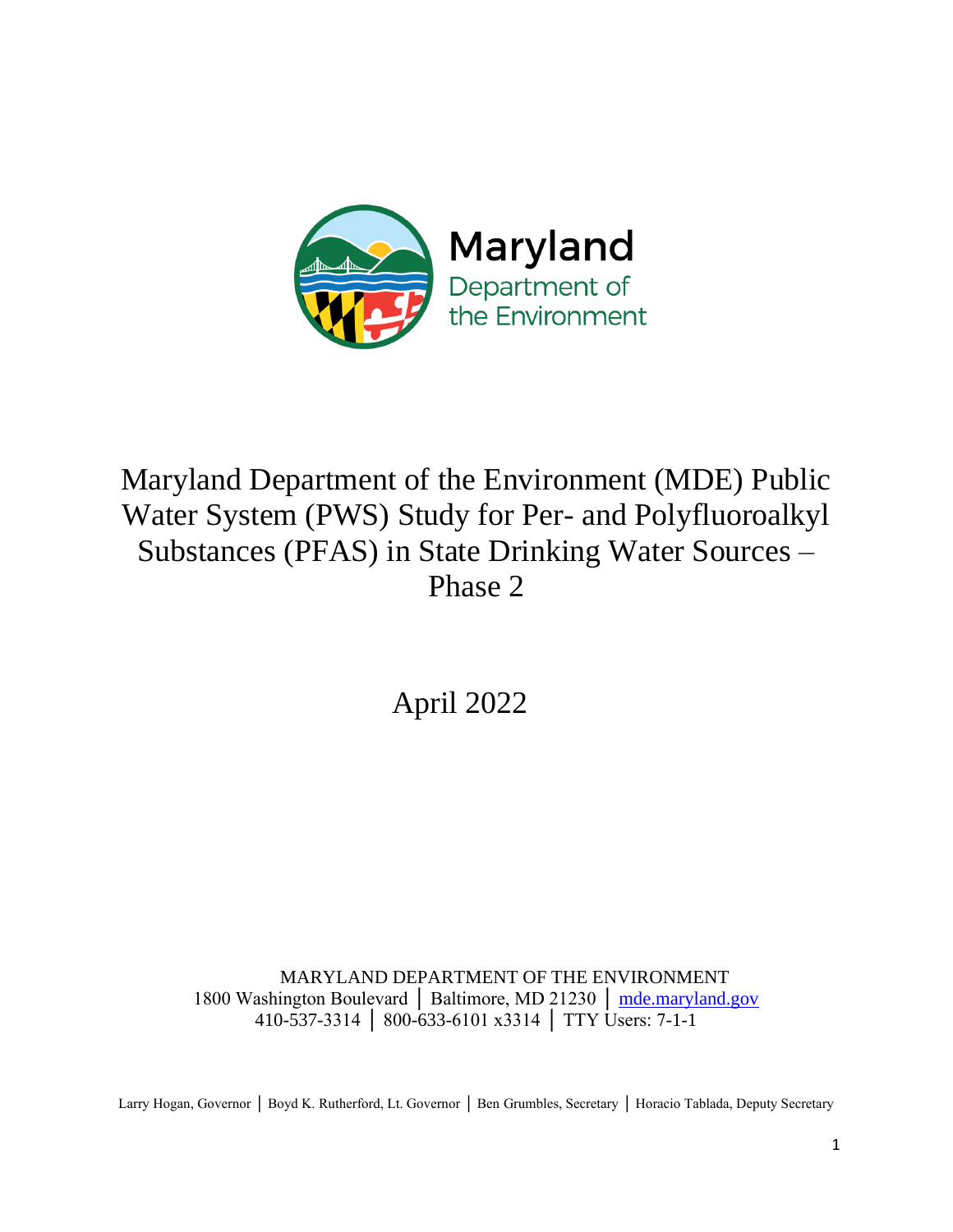

# Maryland Department of the Environment (MDE) Public Water System (PWS) Study for Per- and Polyfluoroalkyl Substances (PFAS) in State Drinking Water Sources – Phase 2

April 2022

MARYLAND DEPARTMENT OF THE ENVIRONMENT 1800 Washington Boulevard │ Baltimore, MD 21230 │ [mde.maryland.gov](http://www.mde.maryland.gov/recycling) 410-537-3314 │ 800-633-6101 x3314 │ TTY Users: 7-1-1

Larry Hogan, Governor │ Boyd K. Rutherford, Lt. Governor │ Ben Grumbles, Secretary │ Horacio Tablada, Deputy Secretary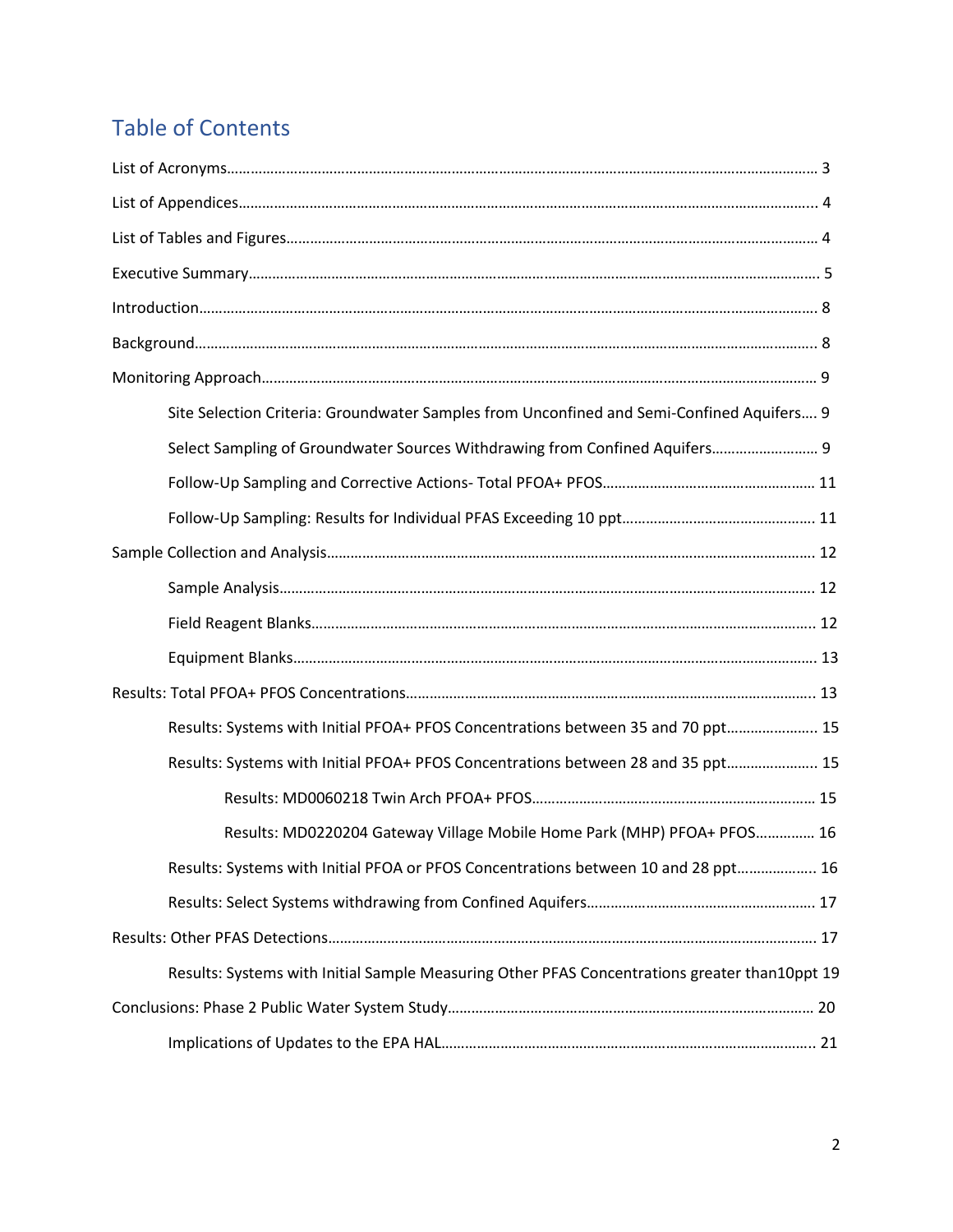# Table of Contents

| Site Selection Criteria: Groundwater Samples from Unconfined and Semi-Confined Aquifers 9     |  |
|-----------------------------------------------------------------------------------------------|--|
| Select Sampling of Groundwater Sources Withdrawing from Confined Aquifers 9                   |  |
|                                                                                               |  |
|                                                                                               |  |
|                                                                                               |  |
|                                                                                               |  |
|                                                                                               |  |
|                                                                                               |  |
|                                                                                               |  |
| Results: Systems with Initial PFOA+ PFOS Concentrations between 35 and 70 ppt 15              |  |
| Results: Systems with Initial PFOA+ PFOS Concentrations between 28 and 35 ppt 15              |  |
|                                                                                               |  |
| Results: MD0220204 Gateway Village Mobile Home Park (MHP) PFOA+ PFOS 16                       |  |
| Results: Systems with Initial PFOA or PFOS Concentrations between 10 and 28 ppt 16            |  |
|                                                                                               |  |
|                                                                                               |  |
| Results: Systems with Initial Sample Measuring Other PFAS Concentrations greater than10ppt 19 |  |
|                                                                                               |  |
|                                                                                               |  |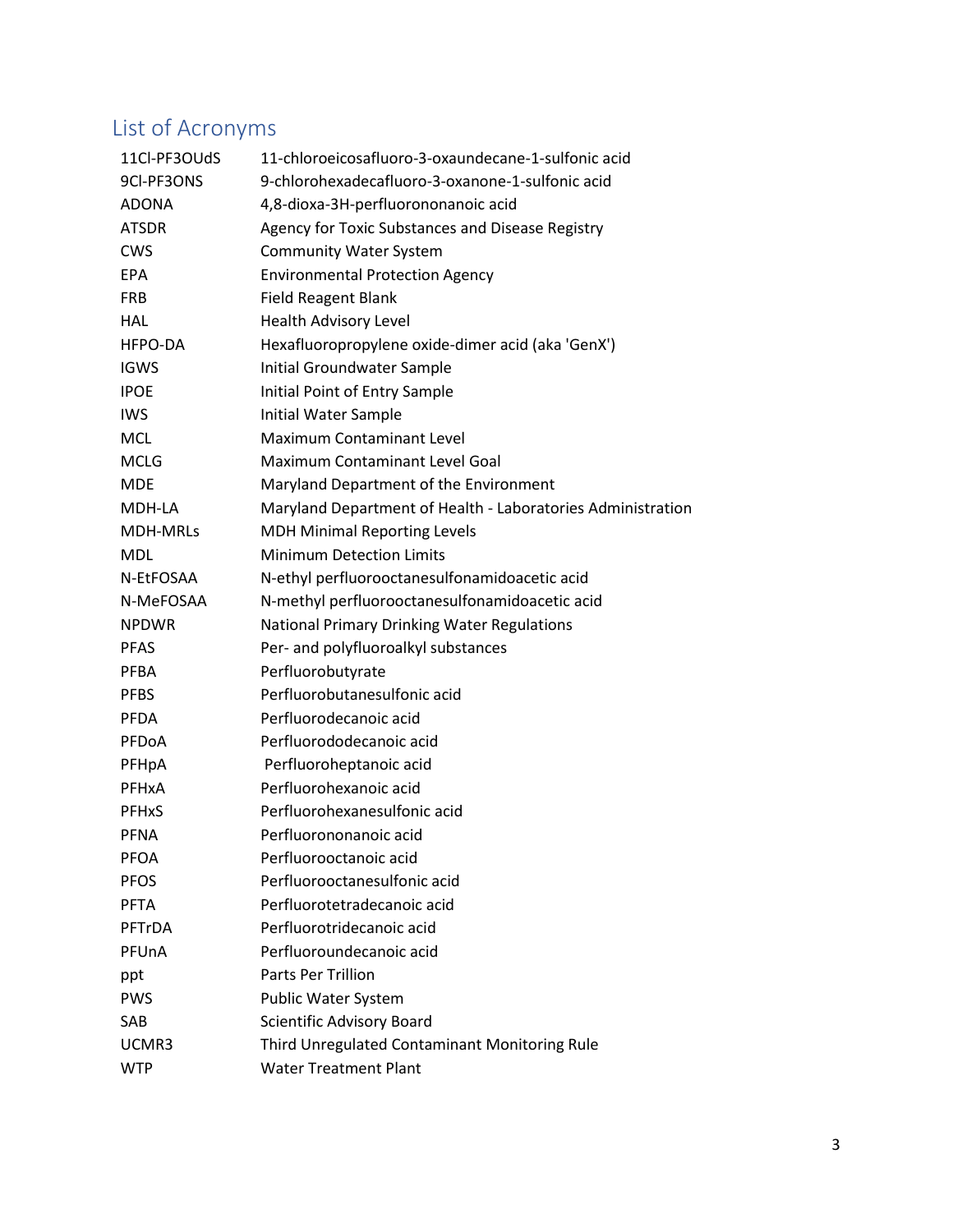# List of Acronyms

| 11Cl-PF3OUdS            | 11-chloroeicosafluoro-3-oxaundecane-1-sulfonic acid         |
|-------------------------|-------------------------------------------------------------|
| 9CI-PF3ONS              | 9-chlorohexadecafluoro-3-oxanone-1-sulfonic acid            |
| <b>ADONA</b>            | 4,8-dioxa-3H-perfluorononanoic acid                         |
| <b>ATSDR</b>            | Agency for Toxic Substances and Disease Registry            |
| <b>CWS</b>              | <b>Community Water System</b>                               |
| <b>EPA</b>              | <b>Environmental Protection Agency</b>                      |
| <b>FRB</b>              | <b>Field Reagent Blank</b>                                  |
| <b>HAL</b>              | Health Advisory Level                                       |
| HFPO-DA                 | Hexafluoropropylene oxide-dimer acid (aka 'GenX')           |
| <b>IGWS</b>             | Initial Groundwater Sample                                  |
| <b>IPOE</b>             | Initial Point of Entry Sample                               |
| <b>IWS</b>              | Initial Water Sample                                        |
| <b>MCL</b>              | <b>Maximum Contaminant Level</b>                            |
| <b>MCLG</b>             | Maximum Contaminant Level Goal                              |
| <b>MDE</b>              | Maryland Department of the Environment                      |
| MDH-LA                  | Maryland Department of Health - Laboratories Administration |
| <b>MDH-MRLS</b>         | <b>MDH Minimal Reporting Levels</b>                         |
| <b>MDL</b>              | <b>Minimum Detection Limits</b>                             |
| N-EtFOSAA               | N-ethyl perfluorooctanesulfonamidoacetic acid               |
| N-MeFOSAA               | N-methyl perfluorooctanesulfonamidoacetic acid              |
| <b>NPDWR</b>            | National Primary Drinking Water Regulations                 |
| <b>PFAS</b>             | Per- and polyfluoroalkyl substances                         |
| <b>PFBA</b>             | Perfluorobutyrate                                           |
| <b>PFBS</b>             | Perfluorobutanesulfonic acid                                |
| <b>PFDA</b>             | Perfluorodecanoic acid                                      |
| PFDoA                   | Perfluorododecanoic acid                                    |
| PFHpA                   | Perfluoroheptanoic acid                                     |
| PFHxA                   | Perfluorohexanoic acid                                      |
| <b>PFH<sub>x</sub>S</b> | Perfluorohexanesulfonic acid                                |
| PFNA                    | Perfluorononanoic acid                                      |
| <b>PFOA</b>             | Perfluorooctanoic acid                                      |
| <b>PFOS</b>             | Perfluorooctanesulfonic acid                                |
| <b>PFTA</b>             | Perfluorotetradecanoic acid                                 |
| PFTrDA                  | Perfluorotridecanoic acid                                   |
| PFUnA                   | Perfluoroundecanoic acid                                    |
| ppt                     | Parts Per Trillion                                          |
| <b>PWS</b>              | <b>Public Water System</b>                                  |
| SAB                     | Scientific Advisory Board                                   |
| UCMR3                   | Third Unregulated Contaminant Monitoring Rule               |
| <b>WTP</b>              | <b>Water Treatment Plant</b>                                |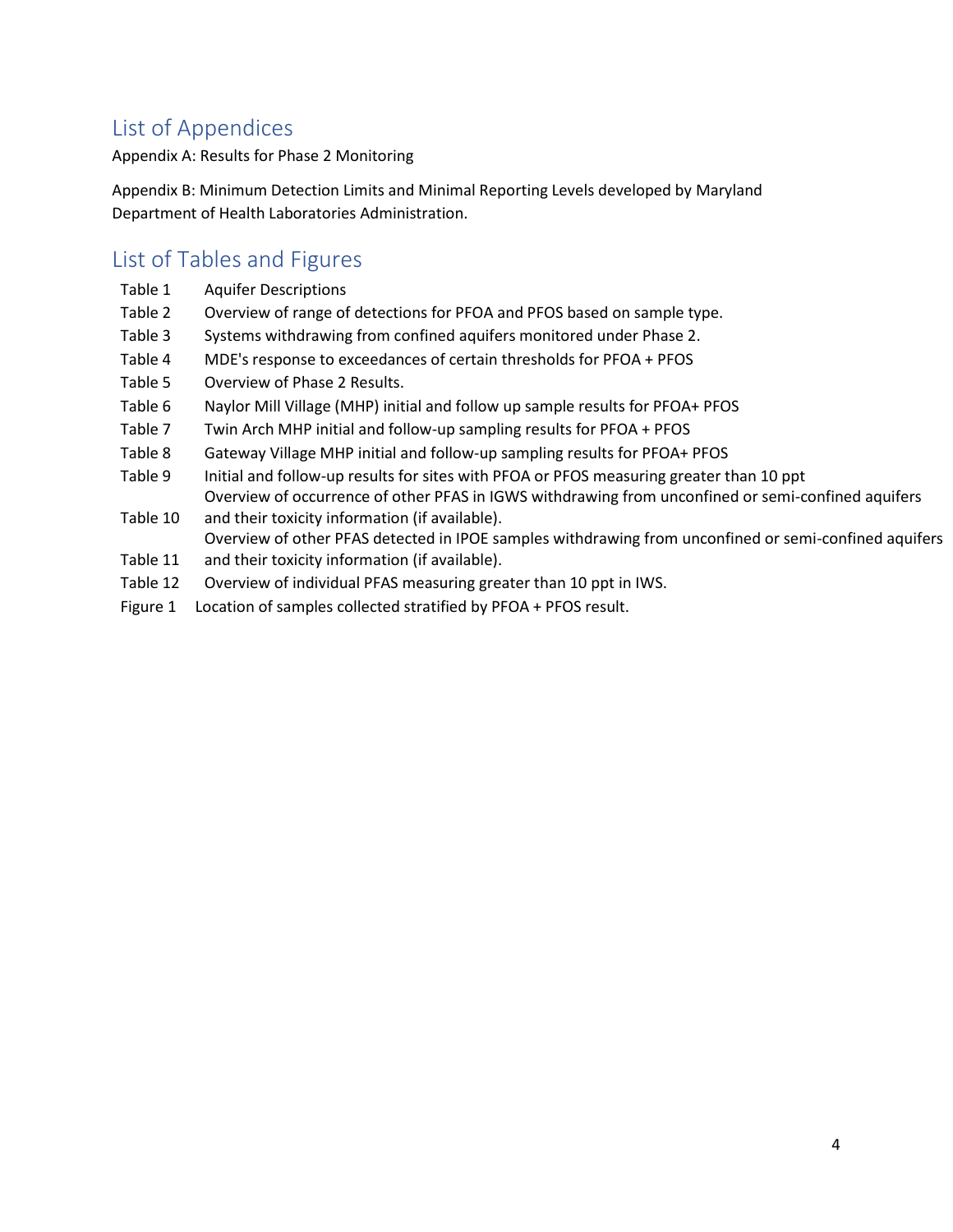# List of Appendices

Appendix A: Results for Phase 2 Monitoring

Appendix B: Minimum Detection Limits and Minimal Reporting Levels developed by Maryland Department of Health Laboratories Administration.

## List of Tables and Figures

- Table 1 Aquifer Descriptions
- Table 2 Overview of range of detections for PFOA and PFOS based on sample type.
- Table 3 Systems withdrawing from confined aquifers monitored under Phase 2.
- Table 4 MDE's response to exceedances of certain thresholds for PFOA + PFOS
- Table 5 Overview of Phase 2 Results.
- Table 6 Naylor Mill Village (MHP) initial and follow up sample results for PFOA+ PFOS
- Table 7 Twin Arch MHP initial and follow-up sampling results for PFOA + PFOS
- Table 8 Gateway Village MHP initial and follow-up sampling results for PFOA+ PFOS
- Table 9 Initial and follow-up results for sites with PFOA or PFOS measuring greater than 10 ppt Overview of occurrence of other PFAS in IGWS withdrawing from unconfined or semi-confined aquifers
- Table 10 and their toxicity information (if available). Overview of other PFAS detected in IPOE samples withdrawing from unconfined or semi-confined aquifers
- Table 11 and their toxicity information (if available).
- Table 12 Overview of individual PFAS measuring greater than 10 ppt in IWS.
- Figure 1 Location of samples collected stratified by PFOA + PFOS result.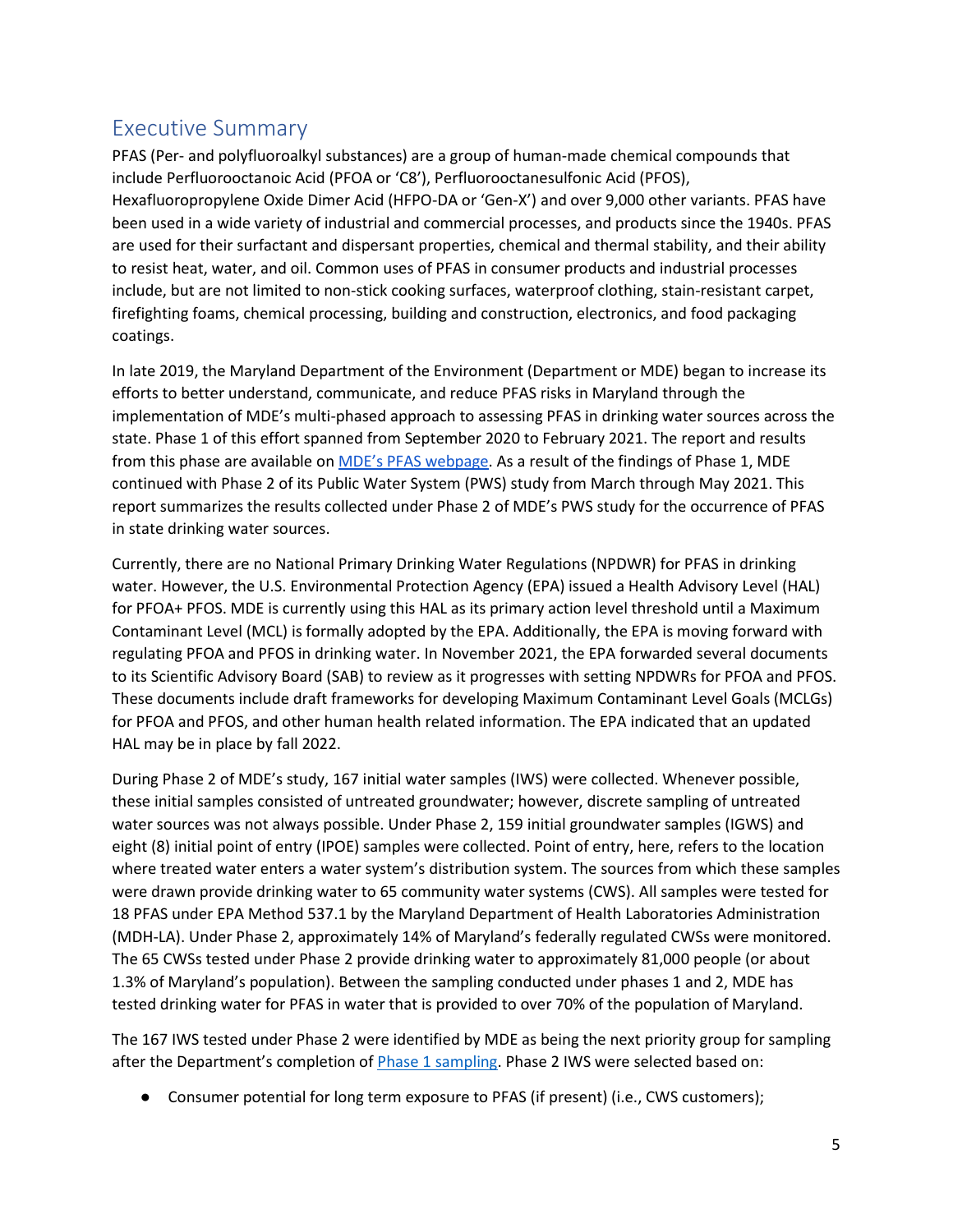## Executive Summary

PFAS (Per- and polyfluoroalkyl substances) are a group of human-made chemical compounds that include Perfluorooctanoic Acid (PFOA or 'C8'), Perfluorooctanesulfonic Acid (PFOS), Hexafluoropropylene Oxide Dimer Acid (HFPO-DA or 'Gen-X') and over 9,000 other variants. PFAS have been used in a wide variety of industrial and commercial processes, and products since the 1940s. PFAS are used for their surfactant and dispersant properties, chemical and thermal stability, and their ability to resist heat, water, and oil. Common uses of PFAS in consumer products and industrial processes include, but are not limited to non-stick cooking surfaces, waterproof clothing, stain-resistant carpet, firefighting foams, chemical processing, building and construction, electronics, and food packaging coatings.

In late 2019, the Maryland Department of the Environment (Department or MDE) began to increase its efforts to better understand, communicate, and reduce PFAS risks in Maryland through the implementation of MDE's multi-phased approach to assessing PFAS in drinking water sources across the state. Phase 1 of this effort spanned from September 2020 to February 2021. The report and results from this phase are available on [MDE's PFAS webpage](https://mde.maryland.gov/PublicHealth/Pages/PFAS-Landing-Page.aspx). As a result of the findings of Phase 1, MDE continued with Phase 2 of its Public Water System (PWS) study from March through May 2021. This report summarizes the results collected under Phase 2 of MDE's PWS study for the occurrence of PFAS in state drinking water sources.

Currently, there are no National Primary Drinking Water Regulations (NPDWR) for PFAS in drinking water. However, the U.S. Environmental Protection Agency (EPA) issued a Health Advisory Level (HAL) for PFOA+ PFOS. MDE is currently using this HAL as its primary action level threshold until a Maximum Contaminant Level (MCL) is formally adopted by the EPA. Additionally, the EPA is moving forward with regulating PFOA and PFOS in drinking water. In November 2021, the EPA forwarded several documents to its Scientific Advisory Board (SAB) to review as it progresses with setting NPDWRs for PFOA and PFOS. These documents include draft frameworks for developing Maximum Contaminant Level Goals (MCLGs) for PFOA and PFOS, and other human health related information. The EPA indicated that an updated HAL may be in place by fall 2022.

During Phase 2 of MDE's study, 167 initial water samples (IWS) were collected. Whenever possible, these initial samples consisted of untreated groundwater; however, discrete sampling of untreated water sources was not always possible. Under Phase 2, 159 initial groundwater samples (IGWS) and eight (8) initial point of entry (IPOE) samples were collected. Point of entry, here, refers to the location where treated water enters a water system's distribution system. The sources from which these samples were drawn provide drinking water to 65 community water systems (CWS). All samples were tested for 18 PFAS under EPA Method 537.1 by the Maryland Department of Health Laboratories Administration (MDH-LA). Under Phase 2, approximately 14% of Maryland's federally regulated CWSs were monitored. The 65 CWSs tested under Phase 2 provide drinking water to approximately 81,000 people (or about 1.3% of Maryland's population). Between the sampling conducted under phases 1 and 2, MDE has tested drinking water for PFAS in water that is provided to over 70% of the population of Maryland.

The 167 IWS tested under Phase 2 were identified by MDE as being the next priority group for sampling after the Department's completion of **Phase 1 sampling**. Phase 2 IWS were selected based on:

● Consumer potential for long term exposure to PFAS (if present) (i.e., CWS customers);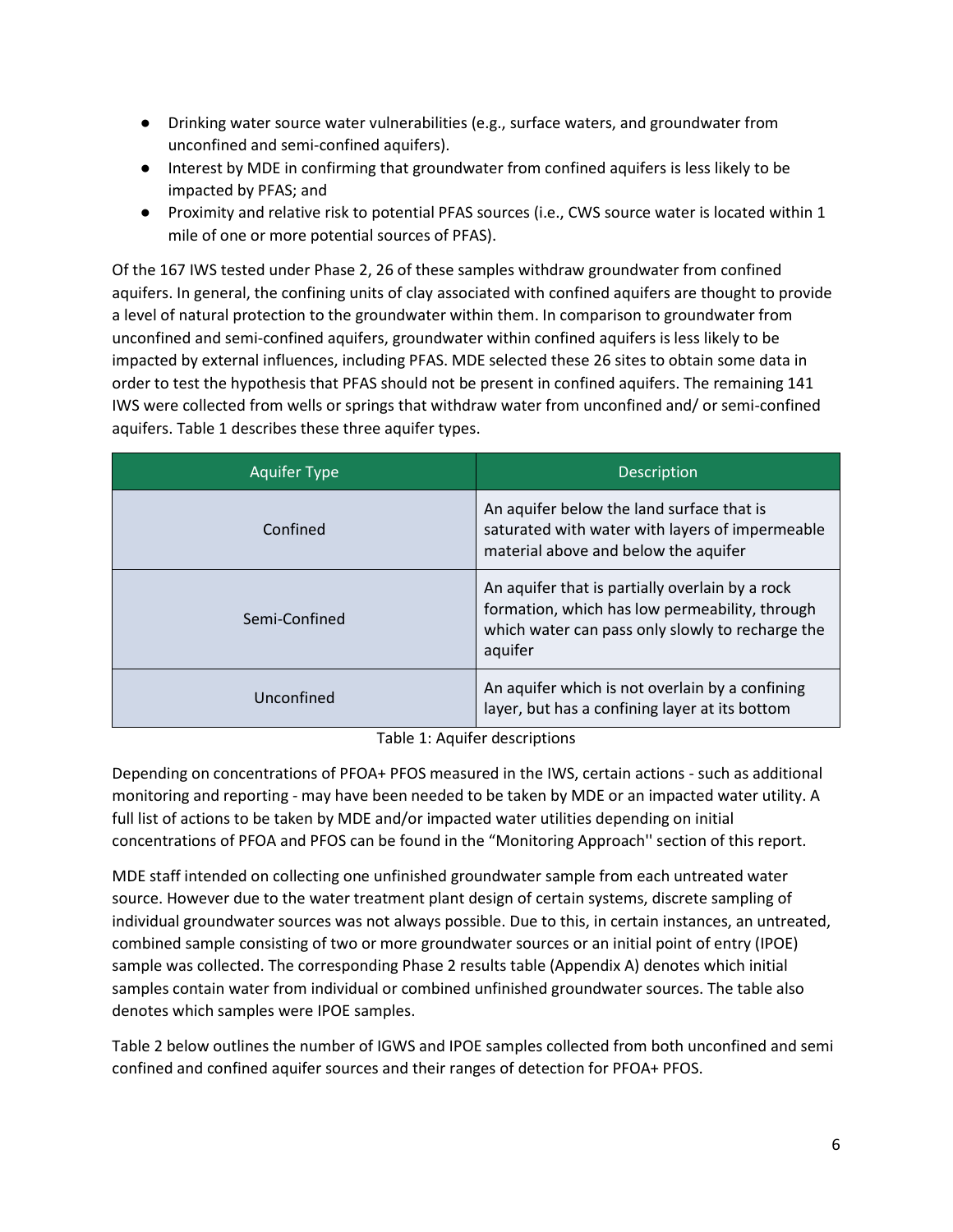- Drinking water source water vulnerabilities (e.g., surface waters, and groundwater from unconfined and semi-confined aquifers).
- Interest by MDE in confirming that groundwater from confined aquifers is less likely to be impacted by PFAS; and
- Proximity and relative risk to potential PFAS sources (i.e., CWS source water is located within 1 mile of one or more potential sources of PFAS).

Of the 167 IWS tested under Phase 2, 26 of these samples withdraw groundwater from confined aquifers. In general, the confining units of clay associated with confined aquifers are thought to provide a level of natural protection to the groundwater within them. In comparison to groundwater from unconfined and semi-confined aquifers, groundwater within confined aquifers is less likely to be impacted by external influences, including PFAS. MDE selected these 26 sites to obtain some data in order to test the hypothesis that PFAS should not be present in confined aquifers. The remaining 141 IWS were collected from wells or springs that withdraw water from unconfined and/ or semi-confined aquifers. Table 1 describes these three aquifer types.

| <b>Aquifer Type</b> | <b>Description</b>                                                                                                                                               |
|---------------------|------------------------------------------------------------------------------------------------------------------------------------------------------------------|
| Confined            | An aquifer below the land surface that is<br>saturated with water with layers of impermeable<br>material above and below the aquifer                             |
| Semi-Confined       | An aquifer that is partially overlain by a rock<br>formation, which has low permeability, through<br>which water can pass only slowly to recharge the<br>aquifer |
| Unconfined          | An aquifer which is not overlain by a confining<br>layer, but has a confining layer at its bottom                                                                |

Table 1: Aquifer descriptions

Depending on concentrations of PFOA+ PFOS measured in the IWS, certain actions - such as additional monitoring and reporting - may have been needed to be taken by MDE or an impacted water utility. A full list of actions to be taken by MDE and/or impacted water utilities depending on initial concentrations of PFOA and PFOS can be found in the "Monitoring Approach'' section of this report.

MDE staff intended on collecting one unfinished groundwater sample from each untreated water source. However due to the water treatment plant design of certain systems, discrete sampling of individual groundwater sources was not always possible. Due to this, in certain instances, an untreated, combined sample consisting of two or more groundwater sources or an initial point of entry (IPOE) sample was collected. The corresponding Phase 2 results table (Appendix A) denotes which initial samples contain water from individual or combined unfinished groundwater sources. The table also denotes which samples were IPOE samples.

Table 2 below outlines the number of IGWS and IPOE samples collected from both unconfined and semi confined and confined aquifer sources and their ranges of detection for PFOA+ PFOS.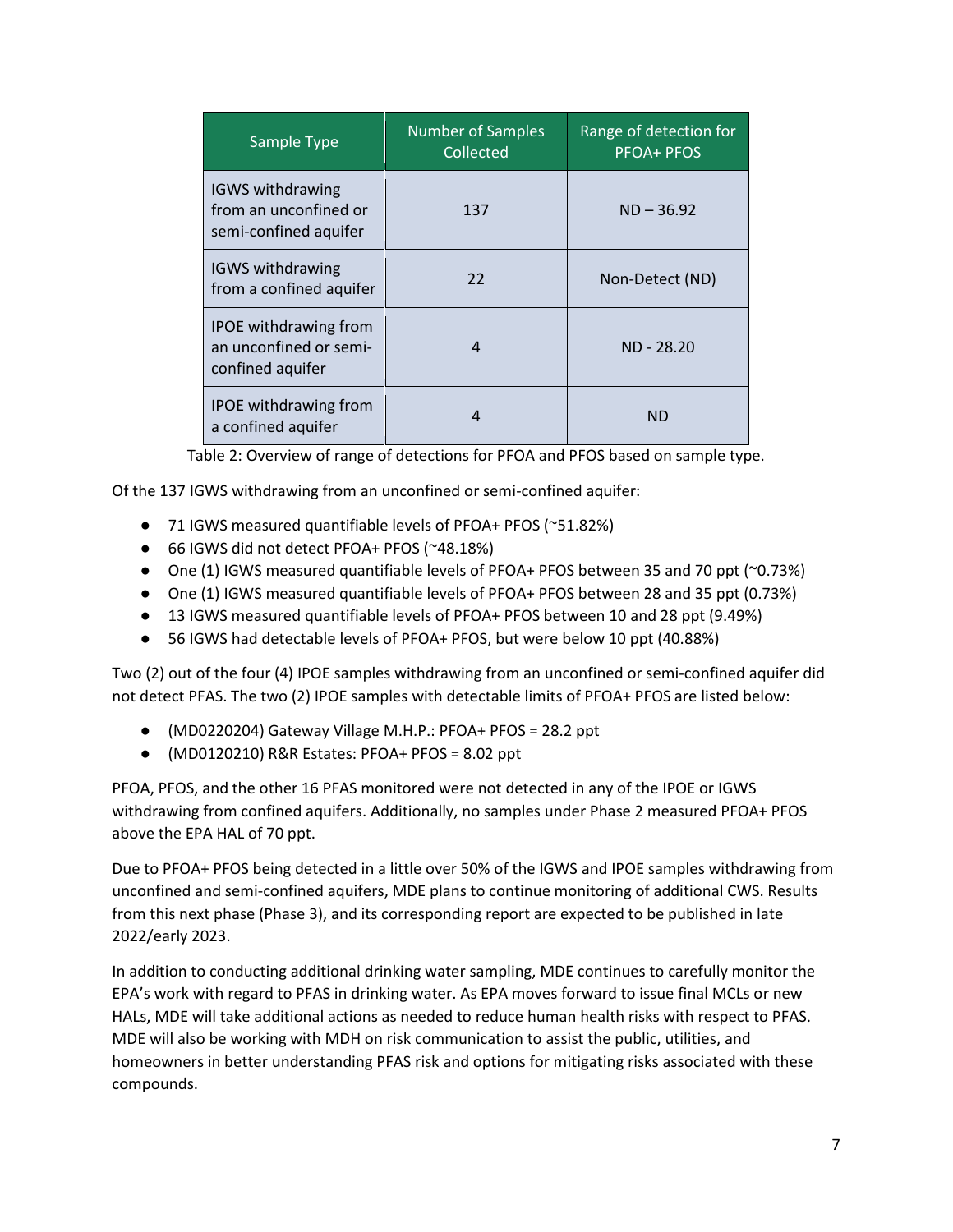| Sample Type                                                                | <b>Number of Samples</b><br>Collected | Range of detection for<br><b>PFOA+ PFOS</b> |
|----------------------------------------------------------------------------|---------------------------------------|---------------------------------------------|
| <b>IGWS withdrawing</b><br>from an unconfined or<br>semi-confined aquifer  | 137                                   | $ND - 36.92$                                |
| <b>IGWS withdrawing</b><br>from a confined aquifer                         | 22                                    | Non-Detect (ND)                             |
| <b>IPOE</b> withdrawing from<br>an unconfined or semi-<br>confined aquifer | 4                                     | ND - 28.20                                  |
| <b>IPOE</b> withdrawing from<br>a confined aquifer                         |                                       | ND                                          |

Table 2: Overview of range of detections for PFOA and PFOS based on sample type.

Of the 137 IGWS withdrawing from an unconfined or semi-confined aquifer:

- 71 IGWS measured quantifiable levels of PFOA+ PFOS (~51.82%)
- 66 IGWS did not detect PFOA+ PFOS (~48.18%)
- One (1) IGWS measured quantifiable levels of PFOA+ PFOS between 35 and 70 ppt ( $\sim$ 0.73%)
- One (1) IGWS measured quantifiable levels of PFOA+ PFOS between 28 and 35 ppt (0.73%)
- 13 IGWS measured quantifiable levels of PFOA+ PFOS between 10 and 28 ppt (9.49%)
- 56 IGWS had detectable levels of PFOA+ PFOS, but were below 10 ppt (40.88%)

Two (2) out of the four (4) IPOE samples withdrawing from an unconfined or semi-confined aquifer did not detect PFAS. The two (2) IPOE samples with detectable limits of PFOA+ PFOS are listed below:

- (MD0220204) Gateway Village M.H.P.: PFOA+ PFOS = 28.2 ppt
- (MD0120210) R&R Estates: PFOA+ PFOS = 8.02 ppt

PFOA, PFOS, and the other 16 PFAS monitored were not detected in any of the IPOE or IGWS withdrawing from confined aquifers. Additionally, no samples under Phase 2 measured PFOA+ PFOS above the EPA HAL of 70 ppt.

Due to PFOA+ PFOS being detected in a little over 50% of the IGWS and IPOE samples withdrawing from unconfined and semi-confined aquifers, MDE plans to continue monitoring of additional CWS. Results from this next phase (Phase 3), and its corresponding report are expected to be published in late 2022/early 2023.

In addition to conducting additional drinking water sampling, MDE continues to carefully monitor the EPA's work with regard to PFAS in drinking water. As EPA moves forward to issue final MCLs or new HALs, MDE will take additional actions as needed to reduce human health risks with respect to PFAS. MDE will also be working with MDH on risk communication to assist the public, utilities, and homeowners in better understanding PFAS risk and options for mitigating risks associated with these compounds.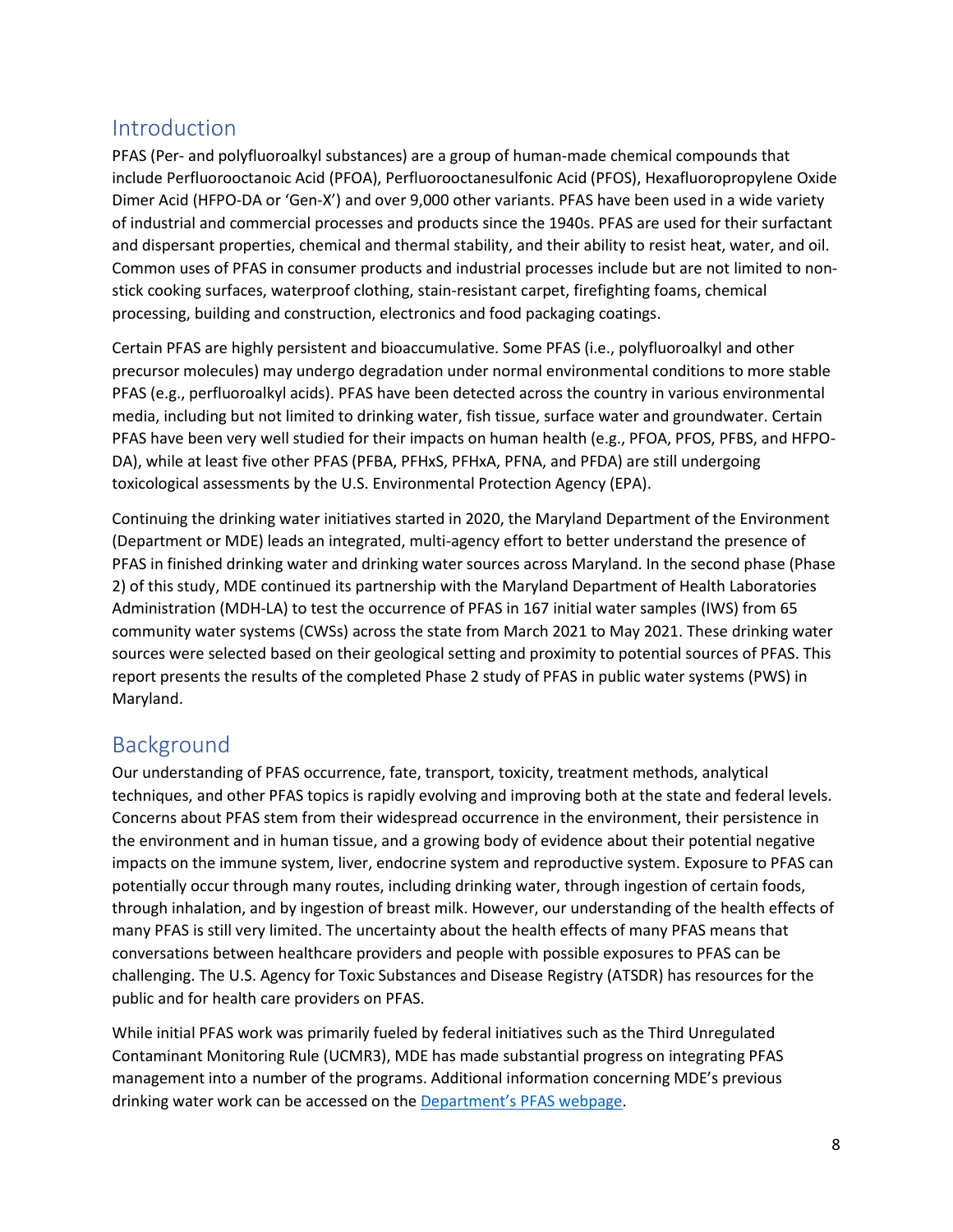## Introduction

PFAS (Per- and polyfluoroalkyl substances) are a group of human-made chemical compounds that include Perfluorooctanoic Acid (PFOA), Perfluorooctanesulfonic Acid (PFOS), Hexafluoropropylene Oxide Dimer Acid (HFPO-DA or 'Gen-X') and over 9,000 other variants. PFAS have been used in a wide variety of industrial and commercial processes and products since the 1940s. PFAS are used for their surfactant and dispersant properties, chemical and thermal stability, and their ability to resist heat, water, and oil. Common uses of PFAS in consumer products and industrial processes include but are not limited to nonstick cooking surfaces, waterproof clothing, stain-resistant carpet, firefighting foams, chemical processing, building and construction, electronics and food packaging coatings.

Certain PFAS are highly persistent and bioaccumulative. Some PFAS (i.e., polyfluoroalkyl and other precursor molecules) may undergo degradation under normal environmental conditions to more stable PFAS (e.g., perfluoroalkyl acids). PFAS have been detected across the country in various environmental media, including but not limited to drinking water, fish tissue, surface water and groundwater. Certain PFAS have been very well studied for their impacts on human health (e.g., PFOA, PFOS, PFBS, and HFPO-DA), while at least five other PFAS (PFBA, PFHxS, PFHxA, PFNA, and PFDA) are still undergoing toxicological assessments by the U.S. Environmental Protection Agency (EPA).

Continuing the drinking water initiatives started in 2020, the Maryland Department of the Environment (Department or MDE) leads an integrated, multi-agency effort to better understand the presence of PFAS in finished drinking water and drinking water sources across Maryland. In the second phase (Phase 2) of this study, MDE continued its partnership with the Maryland Department of Health Laboratories Administration (MDH-LA) to test the occurrence of PFAS in 167 initial water samples (IWS) from 65 community water systems (CWSs) across the state from March 2021 to May 2021. These drinking water sources were selected based on their geological setting and proximity to potential sources of PFAS. This report presents the results of the completed Phase 2 study of PFAS in public water systems (PWS) in Maryland.

### Background

Our understanding of PFAS occurrence, fate, transport, toxicity, treatment methods, analytical techniques, and other PFAS topics is rapidly evolving and improving both at the state and federal levels. Concerns about PFAS stem from their widespread occurrence in the environment, their persistence in the environment and in human tissue, and a growing body of evidence about their potential negative impacts on the immune system, liver, endocrine system and reproductive system. Exposure to PFAS can potentially occur through many routes, including drinking water, through ingestion of certain foods, through inhalation, and by ingestion of breast milk. However, our understanding of the health effects of many PFAS is still very limited. The uncertainty about the health effects of many PFAS means that conversations between healthcare providers and people with possible exposures to PFAS can be challenging. The U.S. Agency for Toxic Substances and Disease Registry (ATSDR) has resources for the public and for health care providers on PFAS.

While initial PFAS work was primarily fueled by federal initiatives such as the Third Unregulated Contaminant Monitoring Rule (UCMR3), MDE has made substantial progress on integrating PFAS management into a number of the programs. Additional information concerning MDE's previous drinking water work can be accessed on the [Department's PFAS webpage](https://mde.maryland.gov/PublicHealth/Pages/PFAS-Landing-Page.aspx).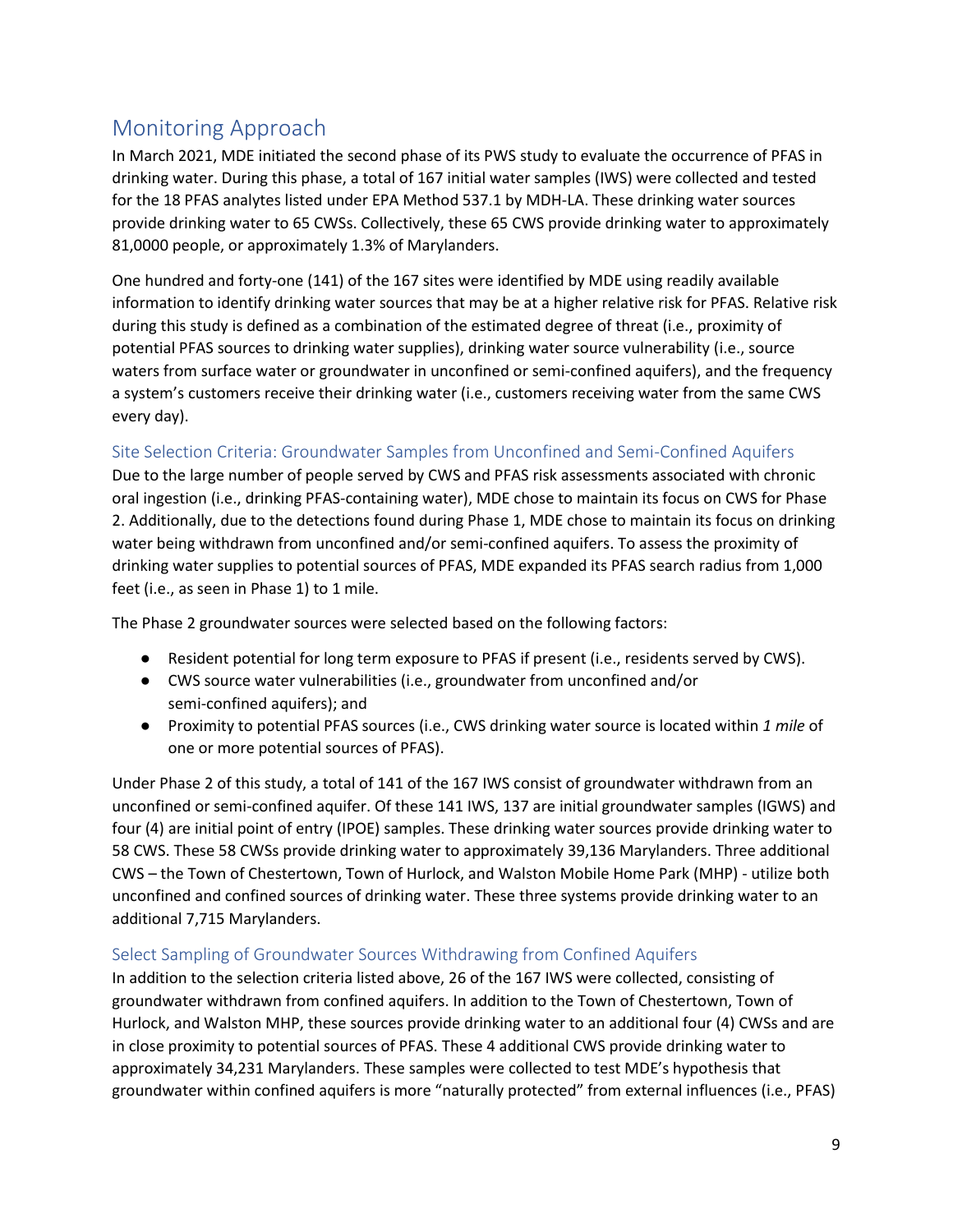# Monitoring Approach

In March 2021, MDE initiated the second phase of its PWS study to evaluate the occurrence of PFAS in drinking water. During this phase, a total of 167 initial water samples (IWS) were collected and tested for the 18 PFAS analytes listed under EPA Method 537.1 by MDH-LA. These drinking water sources provide drinking water to 65 CWSs. Collectively, these 65 CWS provide drinking water to approximately 81,0000 people, or approximately 1.3% of Marylanders.

One hundred and forty-one (141) of the 167 sites were identified by MDE using readily available information to identify drinking water sources that may be at a higher relative risk for PFAS. Relative risk during this study is defined as a combination of the estimated degree of threat (i.e., proximity of potential PFAS sources to drinking water supplies), drinking water source vulnerability (i.e., source waters from surface water or groundwater in unconfined or semi-confined aquifers), and the frequency a system's customers receive their drinking water (i.e., customers receiving water from the same CWS every day).

#### Site Selection Criteria: Groundwater Samples from Unconfined and Semi-Confined Aquifers

Due to the large number of people served by CWS and PFAS risk assessments associated with chronic oral ingestion (i.e., drinking PFAS-containing water), MDE chose to maintain its focus on CWS for Phase 2. Additionally, due to the detections found during Phase 1, MDE chose to maintain its focus on drinking water being withdrawn from unconfined and/or semi-confined aquifers. To assess the proximity of drinking water supplies to potential sources of PFAS, MDE expanded its PFAS search radius from 1,000 feet (i.e., as seen in Phase 1) to 1 mile.

The Phase 2 groundwater sources were selected based on the following factors:

- Resident potential for long term exposure to PFAS if present (i.e., residents served by CWS).
- CWS source water vulnerabilities (i.e., groundwater from unconfined and/or semi-confined aquifers); and
- Proximity to potential PFAS sources (i.e., CWS drinking water source is located within *1 mile* of one or more potential sources of PFAS).

Under Phase 2 of this study, a total of 141 of the 167 IWS consist of groundwater withdrawn from an unconfined or semi-confined aquifer. Of these 141 IWS, 137 are initial groundwater samples (IGWS) and four (4) are initial point of entry (IPOE) samples. These drinking water sources provide drinking water to 58 CWS. These 58 CWSs provide drinking water to approximately 39,136 Marylanders. Three additional CWS – the Town of Chestertown, Town of Hurlock, and Walston Mobile Home Park (MHP) - utilize both unconfined and confined sources of drinking water. These three systems provide drinking water to an additional 7,715 Marylanders.

#### Select Sampling of Groundwater Sources Withdrawing from Confined Aquifers

In addition to the selection criteria listed above, 26 of the 167 IWS were collected, consisting of groundwater withdrawn from confined aquifers. In addition to the Town of Chestertown, Town of Hurlock, and Walston MHP, these sources provide drinking water to an additional four (4) CWSs and are in close proximity to potential sources of PFAS. These 4 additional CWS provide drinking water to approximately 34,231 Marylanders. These samples were collected to test MDE's hypothesis that groundwater within confined aquifers is more "naturally protected" from external influences (i.e., PFAS)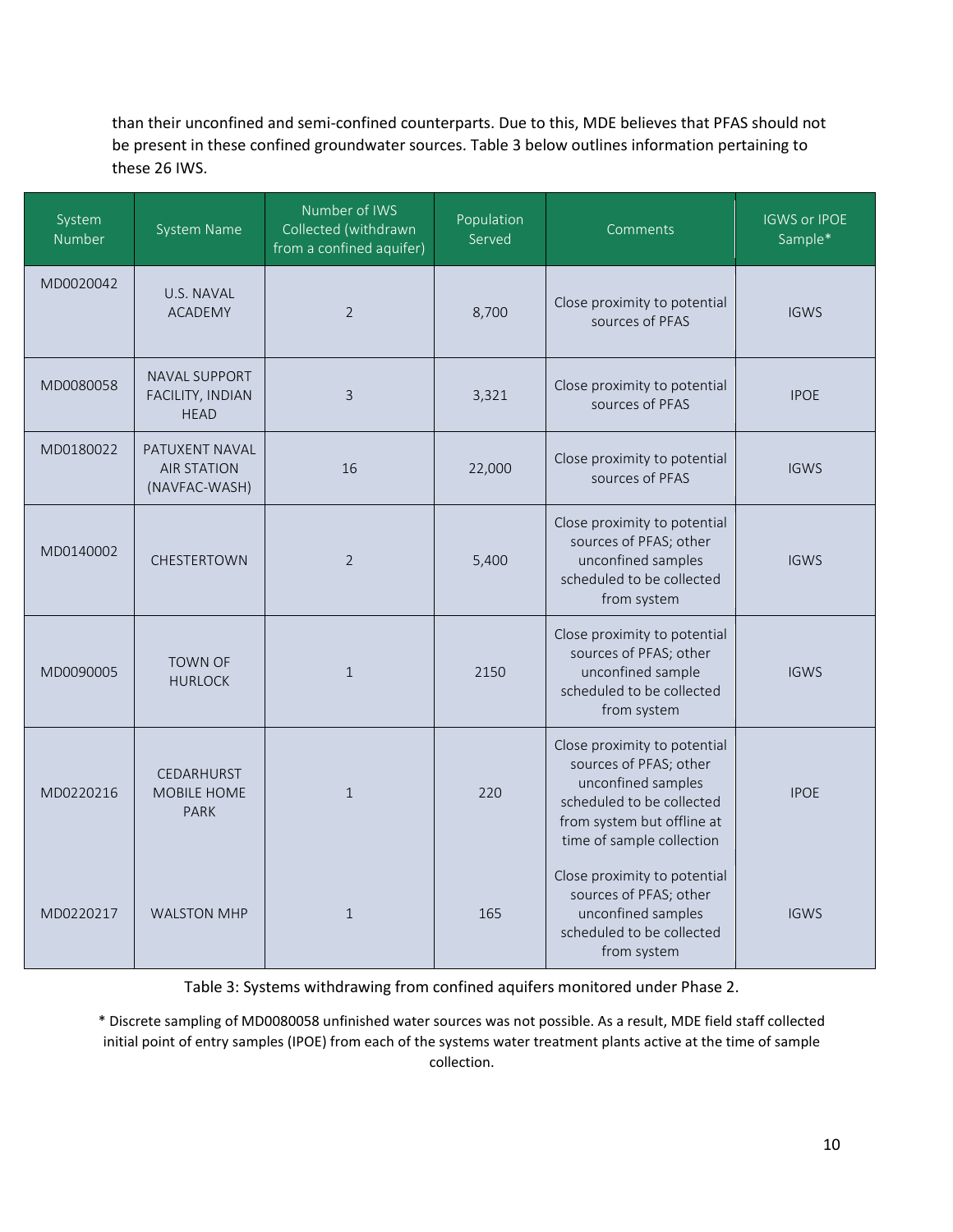than their unconfined and semi-confined counterparts. Due to this, MDE believes that PFAS should not be present in these confined groundwater sources. Table 3 below outlines information pertaining to these 26 IWS.

| System<br>Number | System Name                                             | Number of IWS<br>Collected (withdrawn<br>from a confined aquifer) | Population<br>Served | Comments                                                                                                                                                             | <b>IGWS or IPOE</b><br>Sample* |
|------------------|---------------------------------------------------------|-------------------------------------------------------------------|----------------------|----------------------------------------------------------------------------------------------------------------------------------------------------------------------|--------------------------------|
| MD0020042        | U.S. NAVAL<br><b>ACADEMY</b>                            | 2                                                                 | 8,700                | Close proximity to potential<br>sources of PFAS                                                                                                                      | <b>IGWS</b>                    |
| MD0080058        | <b>NAVAL SUPPORT</b><br>FACILITY, INDIAN<br><b>HEAD</b> | 3                                                                 | 3,321                | Close proximity to potential<br>sources of PFAS                                                                                                                      | <b>IPOE</b>                    |
| MD0180022        | PATUXENT NAVAL<br><b>AIR STATION</b><br>(NAVFAC-WASH)   | 16                                                                | 22,000               | Close proximity to potential<br>sources of PFAS                                                                                                                      | <b>IGWS</b>                    |
| MD0140002        | <b>CHESTERTOWN</b>                                      | 2                                                                 | 5,400                | Close proximity to potential<br>sources of PFAS; other<br>unconfined samples<br>scheduled to be collected<br>from system                                             | <b>IGWS</b>                    |
| MD0090005        | <b>TOWN OF</b><br><b>HURLOCK</b>                        | $\mathbf{1}$                                                      | 2150                 | Close proximity to potential<br>sources of PFAS; other<br>unconfined sample<br>scheduled to be collected<br>from system                                              | <b>IGWS</b>                    |
| MD0220216        | CEDARHURST<br><b>MOBILE HOME</b><br><b>PARK</b>         | $\mathbf{1}$                                                      | 220                  | Close proximity to potential<br>sources of PFAS; other<br>unconfined samples<br>scheduled to be collected<br>from system but offline at<br>time of sample collection | <b>IPOE</b>                    |
| MD0220217        | <b>WALSTON MHP</b>                                      | $\mathbf{1}$                                                      | 165                  | Close proximity to potential<br>sources of PFAS; other<br>unconfined samples<br>scheduled to be collected<br>from system                                             | <b>IGWS</b>                    |

Table 3: Systems withdrawing from confined aquifers monitored under Phase 2.

\* Discrete sampling of MD0080058 unfinished water sources was not possible. As a result, MDE field staff collected initial point of entry samples (IPOE) from each of the systems water treatment plants active at the time of sample collection.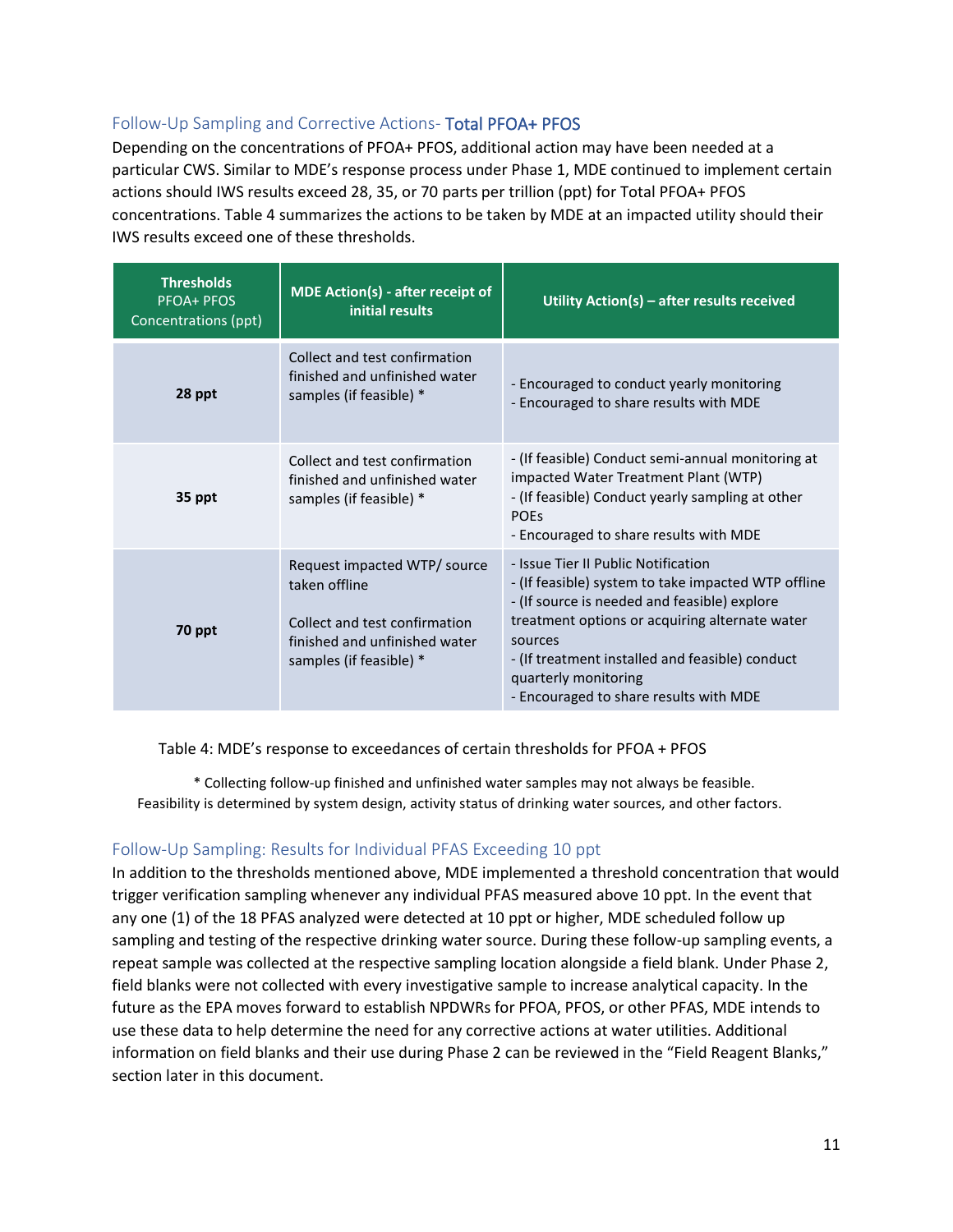#### Follow-Up Sampling and Corrective Actions- Total PFOA+ PFOS

Depending on the concentrations of PFOA+ PFOS, additional action may have been needed at a particular CWS. Similar to MDE's response process under Phase 1, MDE continued to implement certain actions should IWS results exceed 28, 35, or 70 parts per trillion (ppt) for Total PFOA+ PFOS concentrations. Table 4 summarizes the actions to be taken by MDE at an impacted utility should their IWS results exceed one of these thresholds.

| <b>Thresholds</b><br><b>PFOA+ PFOS</b><br>Concentrations (ppt)                                                                                       | <b>MDE Action(s) - after receipt of</b><br>initial results                                | Utility Action(s) - after results received                                                                                                                                                                                                                                                                                   |  |
|------------------------------------------------------------------------------------------------------------------------------------------------------|-------------------------------------------------------------------------------------------|------------------------------------------------------------------------------------------------------------------------------------------------------------------------------------------------------------------------------------------------------------------------------------------------------------------------------|--|
| 28 ppt                                                                                                                                               | Collect and test confirmation<br>finished and unfinished water<br>samples (if feasible) * | - Encouraged to conduct yearly monitoring<br>- Encouraged to share results with MDE                                                                                                                                                                                                                                          |  |
| 35 ppt                                                                                                                                               | Collect and test confirmation<br>finished and unfinished water<br>samples (if feasible) * | - (If feasible) Conduct semi-annual monitoring at<br>impacted Water Treatment Plant (WTP)<br>- (If feasible) Conduct yearly sampling at other<br><b>POES</b><br>- Encouraged to share results with MDE                                                                                                                       |  |
| Request impacted WTP/ source<br>taken offline<br>Collect and test confirmation<br>70 ppt<br>finished and unfinished water<br>samples (if feasible) * |                                                                                           | - Issue Tier II Public Notification<br>- (If feasible) system to take impacted WTP offline<br>- (If source is needed and feasible) explore<br>treatment options or acquiring alternate water<br>sources<br>- (If treatment installed and feasible) conduct<br>quarterly monitoring<br>- Encouraged to share results with MDE |  |

Table 4: MDE's response to exceedances of certain thresholds for PFOA + PFOS

\* Collecting follow-up finished and unfinished water samples may not always be feasible. Feasibility is determined by system design, activity status of drinking water sources, and other factors.

#### Follow-Up Sampling: Results for Individual PFAS Exceeding 10 ppt

In addition to the thresholds mentioned above, MDE implemented a threshold concentration that would trigger verification sampling whenever any individual PFAS measured above 10 ppt. In the event that any one (1) of the 18 PFAS analyzed were detected at 10 ppt or higher, MDE scheduled follow up sampling and testing of the respective drinking water source. During these follow-up sampling events, a repeat sample was collected at the respective sampling location alongside a field blank. Under Phase 2, field blanks were not collected with every investigative sample to increase analytical capacity. In the future as the EPA moves forward to establish NPDWRs for PFOA, PFOS, or other PFAS, MDE intends to use these data to help determine the need for any corrective actions at water utilities. Additional information on field blanks and their use during Phase 2 can be reviewed in the "Field Reagent Blanks," section later in this document.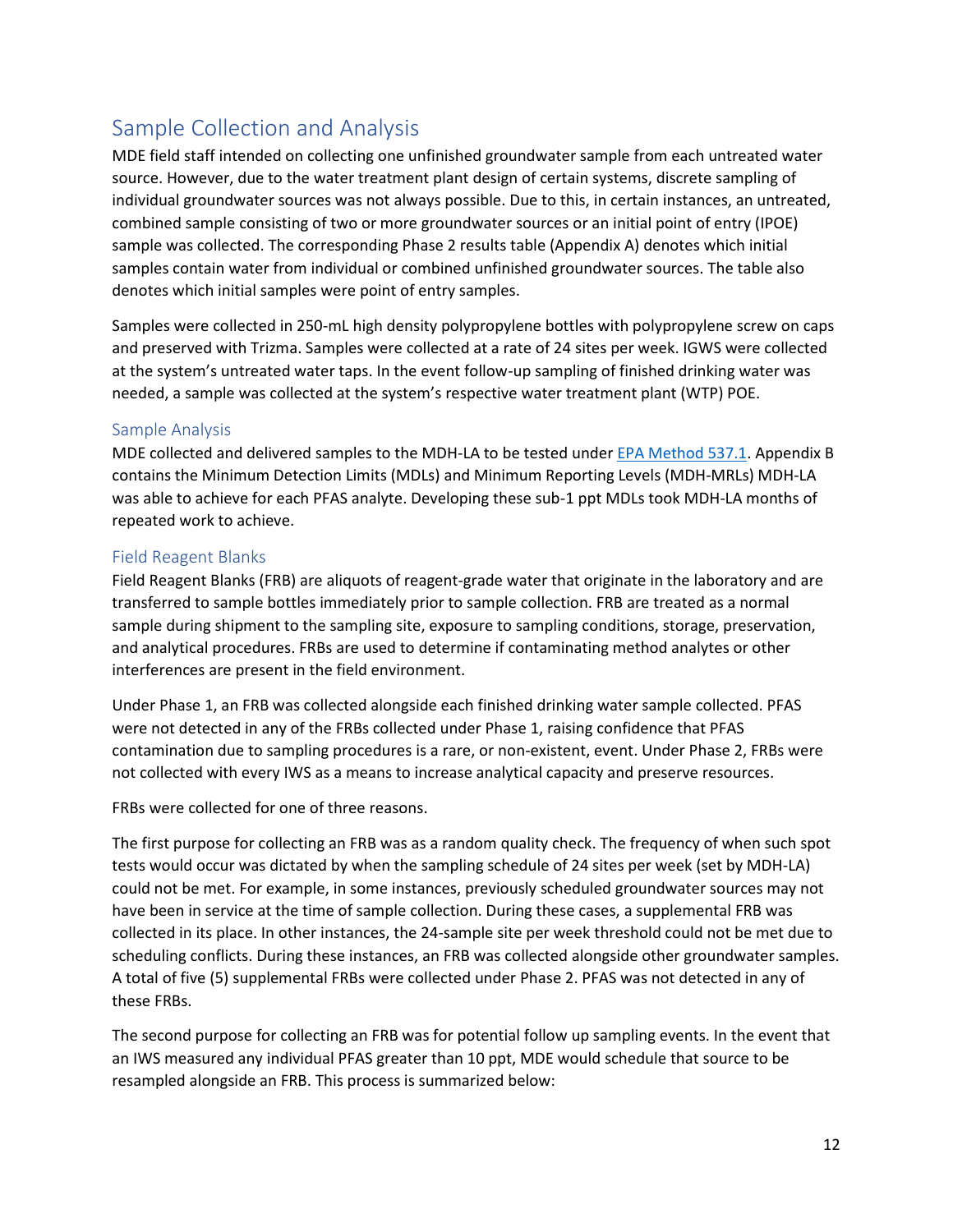# Sample Collection and Analysis

MDE field staff intended on collecting one unfinished groundwater sample from each untreated water source. However, due to the water treatment plant design of certain systems, discrete sampling of individual groundwater sources was not always possible. Due to this, in certain instances, an untreated, combined sample consisting of two or more groundwater sources or an initial point of entry (IPOE) sample was collected. The corresponding Phase 2 results table (Appendix A) denotes which initial samples contain water from individual or combined unfinished groundwater sources. The table also denotes which initial samples were point of entry samples.

Samples were collected in 250-mL high density polypropylene bottles with polypropylene screw on caps and preserved with Trizma. Samples were collected at a rate of 24 sites per week. IGWS were collected at the system's untreated water taps. In the event follow-up sampling of finished drinking water was needed, a sample was collected at the system's respective water treatment plant (WTP) POE.

#### Sample Analysis

MDE collected and delivered samples to the MDH-LA to be tested unde[r EPA Method 537.1.](https://cfpub.epa.gov/si/si_public_record_Report.cfm?dirEntryId=343042&Lab=NERL) Appendix B contains the Minimum Detection Limits (MDLs) and Minimum Reporting Levels (MDH-MRLs) MDH-LA was able to achieve for each PFAS analyte. Developing these sub-1 ppt MDLs took MDH-LA months of repeated work to achieve.

#### Field Reagent Blanks

Field Reagent Blanks (FRB) are aliquots of reagent-grade water that originate in the laboratory and are transferred to sample bottles immediately prior to sample collection. FRB are treated as a normal sample during shipment to the sampling site, exposure to sampling conditions, storage, preservation, and analytical procedures. FRBs are used to determine if contaminating method analytes or other interferences are present in the field environment.

Under Phase 1, an FRB was collected alongside each finished drinking water sample collected. PFAS were not detected in any of the FRBs collected under Phase 1, raising confidence that PFAS contamination due to sampling procedures is a rare, or non-existent, event. Under Phase 2, FRBs were not collected with every IWS as a means to increase analytical capacity and preserve resources.

FRBs were collected for one of three reasons.

The first purpose for collecting an FRB was as a random quality check. The frequency of when such spot tests would occur was dictated by when the sampling schedule of 24 sites per week (set by MDH-LA) could not be met. For example, in some instances, previously scheduled groundwater sources may not have been in service at the time of sample collection. During these cases, a supplemental FRB was collected in its place. In other instances, the 24-sample site per week threshold could not be met due to scheduling conflicts. During these instances, an FRB was collected alongside other groundwater samples. A total of five (5) supplemental FRBs were collected under Phase 2. PFAS was not detected in any of these FRBs.

The second purpose for collecting an FRB was for potential follow up sampling events. In the event that an IWS measured any individual PFAS greater than 10 ppt, MDE would schedule that source to be resampled alongside an FRB. This process is summarized below: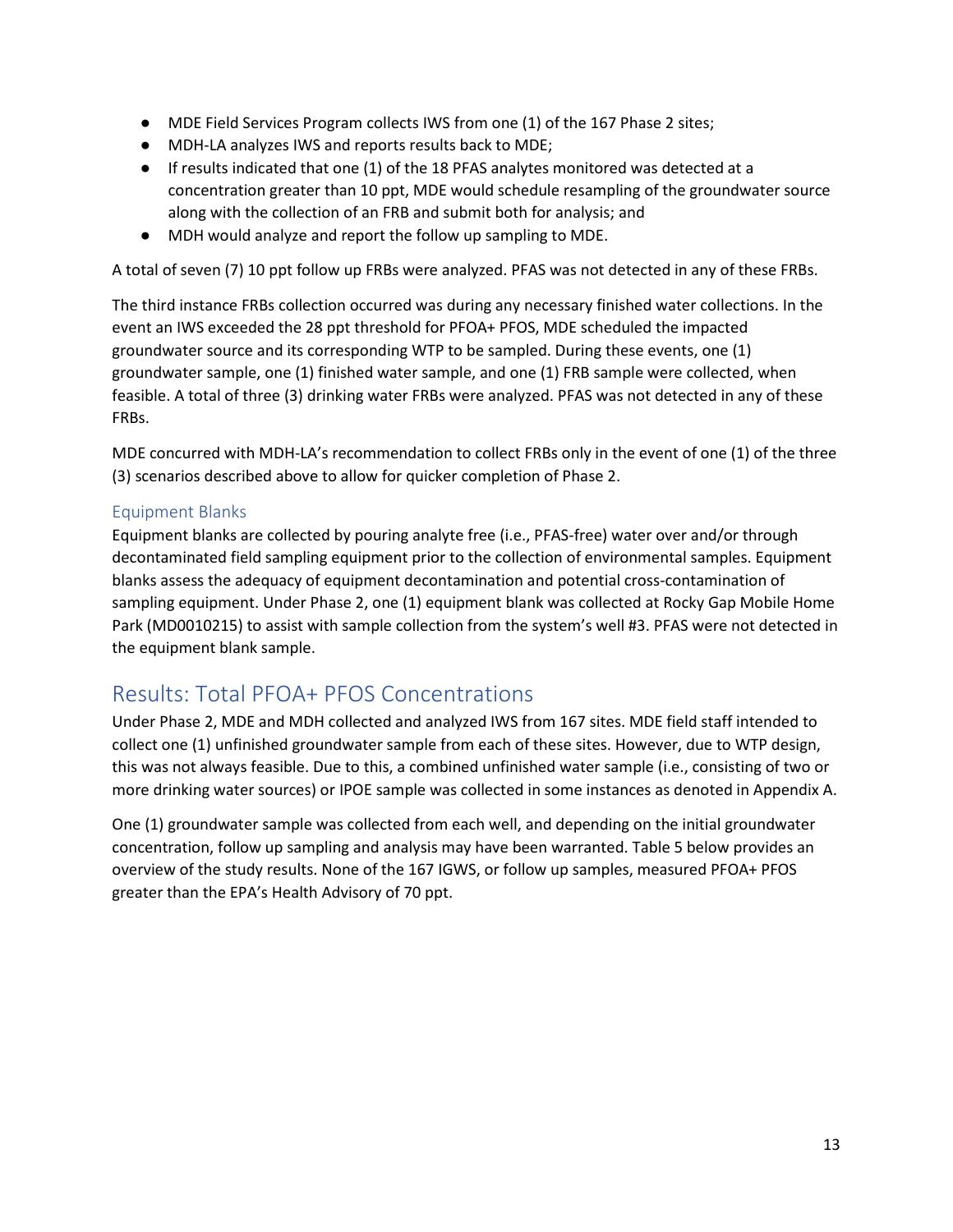- MDE Field Services Program collects IWS from one (1) of the 167 Phase 2 sites;
- MDH-LA analyzes IWS and reports results back to MDE;
- If results indicated that one (1) of the 18 PFAS analytes monitored was detected at a concentration greater than 10 ppt, MDE would schedule resampling of the groundwater source along with the collection of an FRB and submit both for analysis; and
- MDH would analyze and report the follow up sampling to MDE.

A total of seven (7) 10 ppt follow up FRBs were analyzed. PFAS was not detected in any of these FRBs.

The third instance FRBs collection occurred was during any necessary finished water collections. In the event an IWS exceeded the 28 ppt threshold for PFOA+ PFOS, MDE scheduled the impacted groundwater source and its corresponding WTP to be sampled. During these events, one (1) groundwater sample, one (1) finished water sample, and one (1) FRB sample were collected, when feasible. A total of three (3) drinking water FRBs were analyzed. PFAS was not detected in any of these FRBs.

MDE concurred with MDH-LA's recommendation to collect FRBs only in the event of one (1) of the three (3) scenarios described above to allow for quicker completion of Phase 2.

#### Equipment Blanks

Equipment blanks are collected by pouring analyte free (i.e., PFAS-free) water over and/or through decontaminated field sampling equipment prior to the collection of environmental samples. Equipment blanks assess the adequacy of equipment decontamination and potential cross-contamination of sampling equipment. Under Phase 2, one (1) equipment blank was collected at Rocky Gap Mobile Home Park (MD0010215) to assist with sample collection from the system's well #3. PFAS were not detected in the equipment blank sample.

### Results: Total PFOA+ PFOS Concentrations

Under Phase 2, MDE and MDH collected and analyzed IWS from 167 sites. MDE field staff intended to collect one (1) unfinished groundwater sample from each of these sites. However, due to WTP design, this was not always feasible. Due to this, a combined unfinished water sample (i.e., consisting of two or more drinking water sources) or IPOE sample was collected in some instances as denoted in Appendix A.

One (1) groundwater sample was collected from each well, and depending on the initial groundwater concentration, follow up sampling and analysis may have been warranted. Table 5 below provides an overview of the study results. None of the 167 IGWS, or follow up samples, measured PFOA+ PFOS greater than the EPA's Health Advisory of 70 ppt.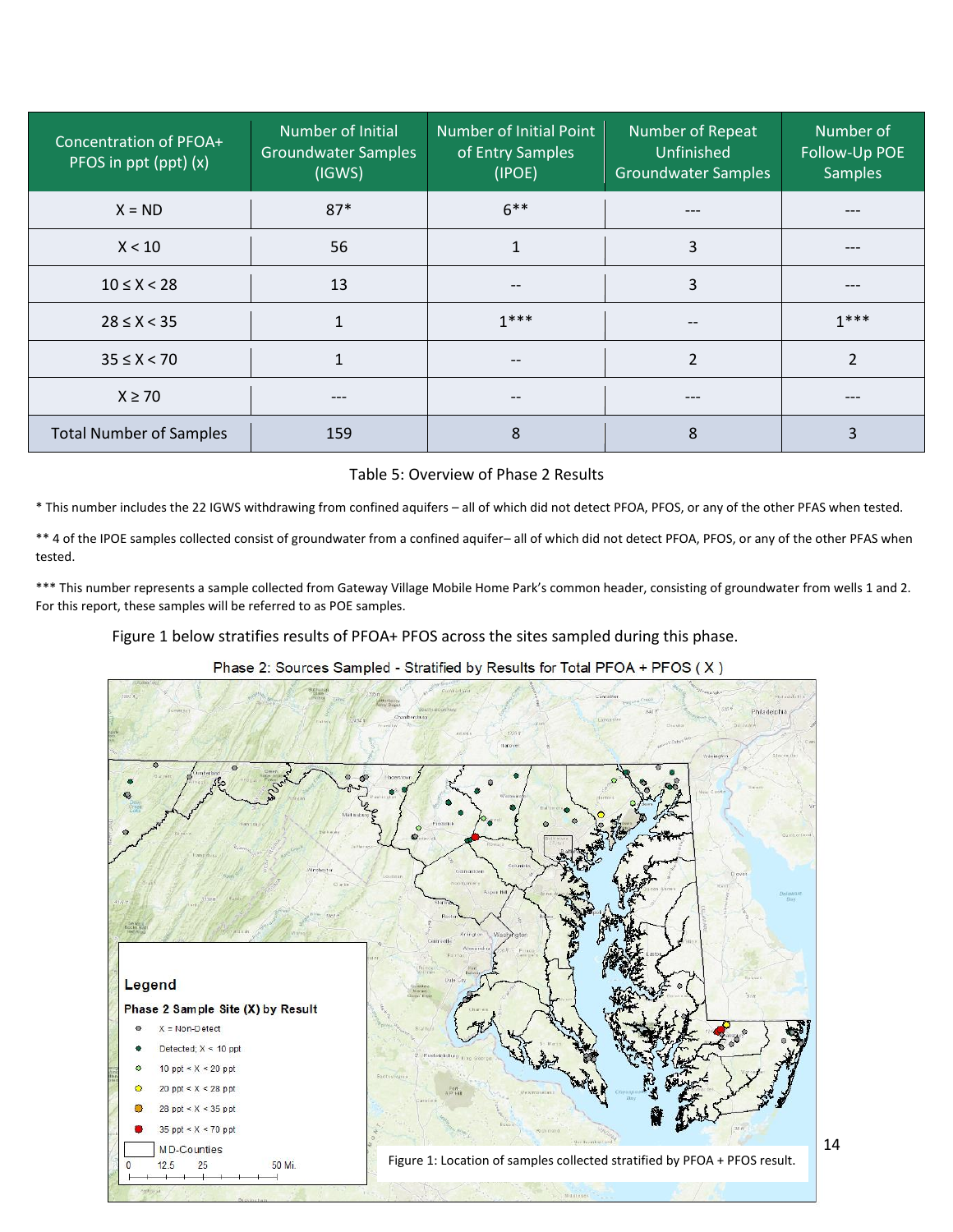| Concentration of PFOA+<br>PFOS in ppt (ppt) (x) | Number of Initial<br><b>Groundwater Samples</b><br>(IGWS) | Number of Initial Point<br>of Entry Samples<br>(IPOE) | Number of Repeat<br>Unfinished<br><b>Groundwater Samples</b> | Number of<br>Follow-Up POE<br><b>Samples</b> |
|-------------------------------------------------|-----------------------------------------------------------|-------------------------------------------------------|--------------------------------------------------------------|----------------------------------------------|
| $X = ND$                                        | $87*$                                                     | $6***$                                                | ---                                                          |                                              |
| X < 10                                          | 56                                                        | $\mathbf{1}$                                          | 3                                                            | ---                                          |
| $10 \le X < 28$                                 | 13                                                        | $\overline{\phantom{m}}$                              | 3                                                            | $---$                                        |
| $28 \le X < 35$                                 |                                                           | $1***$                                                | $\qquad \qquad -$                                            | $1***$                                       |
| $35 \le X < 70$                                 |                                                           | $- -$                                                 | $\overline{\phantom{a}}$                                     | $\overline{\phantom{0}}$                     |
| $X \ge 70$                                      |                                                           | $- -$                                                 | ---                                                          |                                              |
| <b>Total Number of Samples</b>                  | 159                                                       | 8                                                     | 8                                                            | 3                                            |

#### Table 5: Overview of Phase 2 Results

\* This number includes the 22 IGWS withdrawing from confined aquifers – all of which did not detect PFOA, PFOS, or any of the other PFAS when tested.

\*\* 4 of the IPOE samples collected consist of groundwater from a confined aquifer– all of which did not detect PFOA, PFOS, or any of the other PFAS when tested.

\*\*\* This number represents a sample collected from Gateway Village Mobile Home Park's common header, consisting of groundwater from wells 1 and 2. For this report, these samples will be referred to as POE samples.

Figure 1 below stratifies results of PFOA+ PFOS across the sites sampled during this phase.



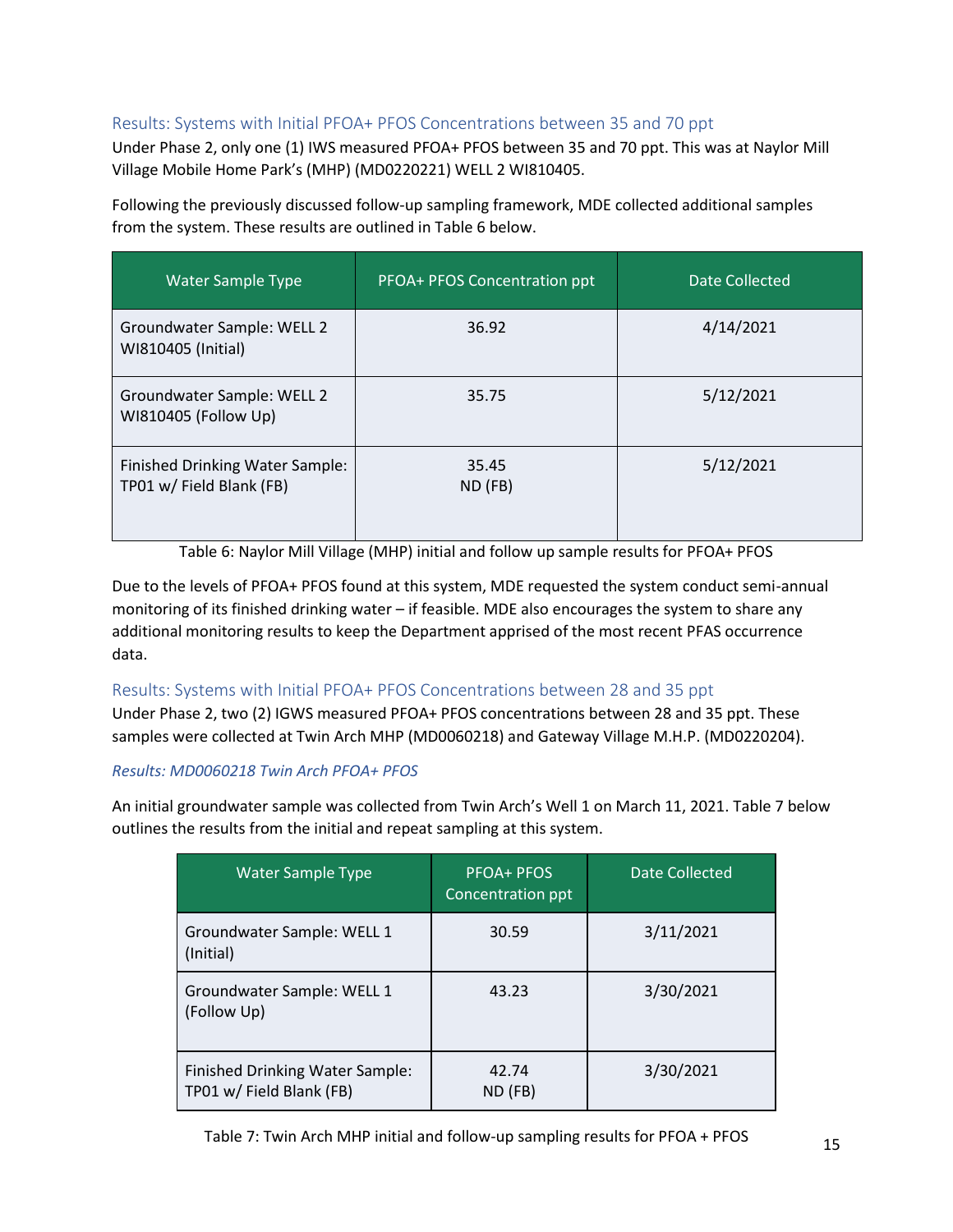#### Results: Systems with Initial PFOA+ PFOS Concentrations between 35 and 70 ppt

Under Phase 2, only one (1) IWS measured PFOA+ PFOS between 35 and 70 ppt. This was at Naylor Mill Village Mobile Home Park's (MHP) (MD0220221) WELL 2 WI810405.

Following the previously discussed follow-up sampling framework, MDE collected additional samples from the system. These results are outlined in Table 6 below.

| <b>Water Sample Type</b>                                    | PFOA+ PFOS Concentration ppt | Date Collected |
|-------------------------------------------------------------|------------------------------|----------------|
| Groundwater Sample: WELL 2<br>WI810405 (Initial)            | 36.92                        | 4/14/2021      |
| Groundwater Sample: WELL 2<br>WI810405 (Follow Up)          | 35.75                        | 5/12/2021      |
| Finished Drinking Water Sample:<br>TP01 w/ Field Blank (FB) | 35.45<br>ND (FB)             | 5/12/2021      |

Table 6: Naylor Mill Village (MHP) initial and follow up sample results for PFOA+ PFOS

Due to the levels of PFOA+ PFOS found at this system, MDE requested the system conduct semi-annual monitoring of its finished drinking water – if feasible. MDE also encourages the system to share any additional monitoring results to keep the Department apprised of the most recent PFAS occurrence data.

#### Results: Systems with Initial PFOA+ PFOS Concentrations between 28 and 35 ppt

Under Phase 2, two (2) IGWS measured PFOA+ PFOS concentrations between 28 and 35 ppt. These samples were collected at Twin Arch MHP (MD0060218) and Gateway Village M.H.P. (MD0220204).

#### *Results: MD0060218 Twin Arch PFOA+ PFOS*

An initial groundwater sample was collected from Twin Arch's Well 1 on March 11, 2021. Table 7 below outlines the results from the initial and repeat sampling at this system.

| <b>Water Sample Type</b>                                    | <b>PFOA+ PFOS</b><br>Concentration ppt | Date Collected |
|-------------------------------------------------------------|----------------------------------------|----------------|
| Groundwater Sample: WELL 1<br>(Initial)                     | 30.59                                  | 3/11/2021      |
| Groundwater Sample: WELL 1<br>(Follow Up)                   | 43.23                                  | 3/30/2021      |
| Finished Drinking Water Sample:<br>TP01 w/ Field Blank (FB) | 42.74<br>ND (FB)                       | 3/30/2021      |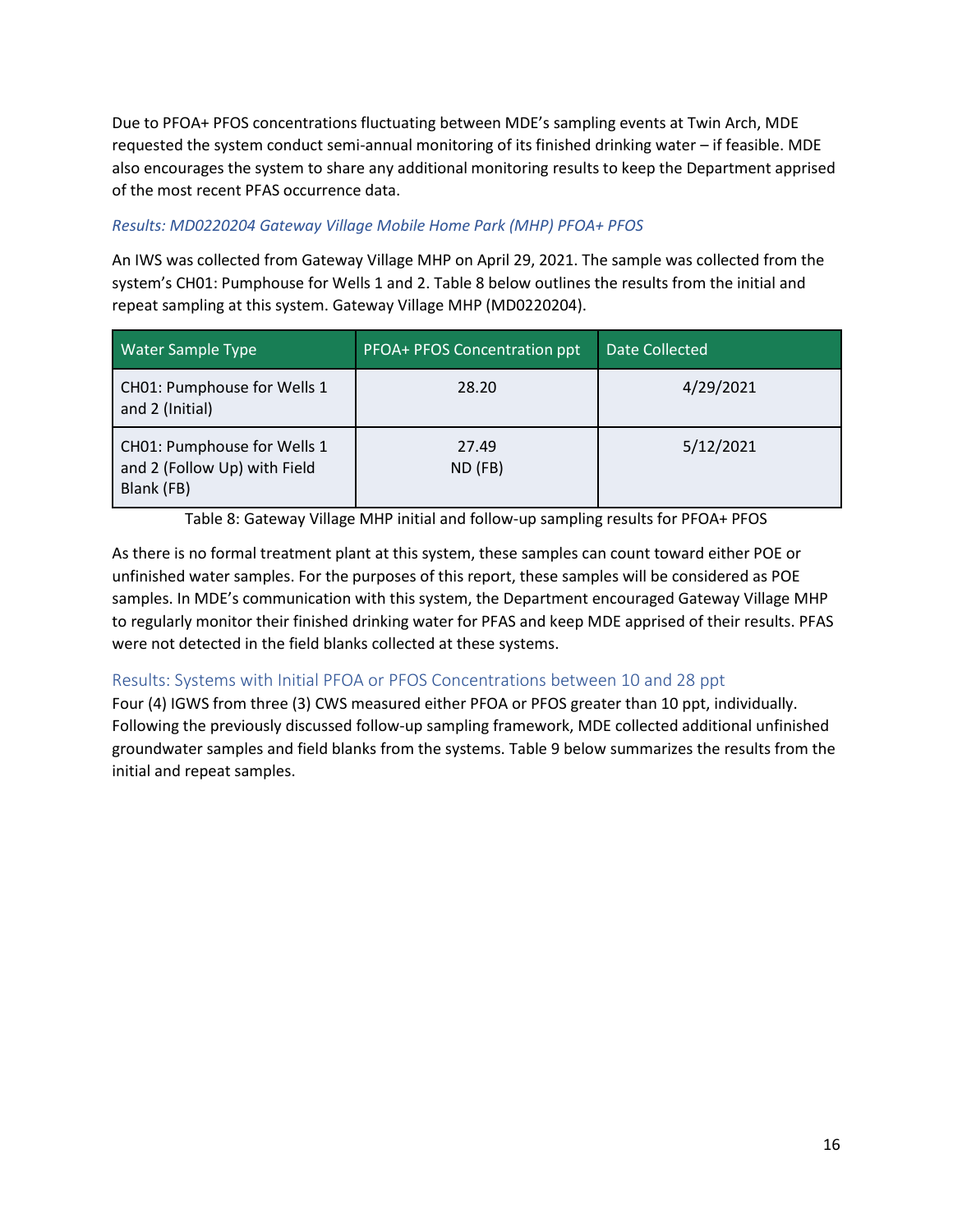Due to PFOA+ PFOS concentrations fluctuating between MDE's sampling events at Twin Arch, MDE requested the system conduct semi-annual monitoring of its finished drinking water – if feasible. MDE also encourages the system to share any additional monitoring results to keep the Department apprised of the most recent PFAS occurrence data.

#### *Results: MD0220204 Gateway Village Mobile Home Park (MHP) PFOA+ PFOS*

An IWS was collected from Gateway Village MHP on April 29, 2021. The sample was collected from the system's CH01: Pumphouse for Wells 1 and 2. Table 8 below outlines the results from the initial and repeat sampling at this system. Gateway Village MHP (MD0220204).

| <b>Water Sample Type</b>                                                  | PFOA+ PFOS Concentration ppt | Date Collected |
|---------------------------------------------------------------------------|------------------------------|----------------|
| CH01: Pumphouse for Wells 1<br>and 2 (Initial)                            | 28.20                        | 4/29/2021      |
| CH01: Pumphouse for Wells 1<br>and 2 (Follow Up) with Field<br>Blank (FB) | 27.49<br>ND (FB)             | 5/12/2021      |

Table 8: Gateway Village MHP initial and follow-up sampling results for PFOA+ PFOS

As there is no formal treatment plant at this system, these samples can count toward either POE or unfinished water samples. For the purposes of this report, these samples will be considered as POE samples. In MDE's communication with this system, the Department encouraged Gateway Village MHP to regularly monitor their finished drinking water for PFAS and keep MDE apprised of their results. PFAS were not detected in the field blanks collected at these systems.

#### Results: Systems with Initial PFOA or PFOS Concentrations between 10 and 28 ppt

Four (4) IGWS from three (3) CWS measured either PFOA or PFOS greater than 10 ppt, individually. Following the previously discussed follow-up sampling framework, MDE collected additional unfinished groundwater samples and field blanks from the systems. Table 9 below summarizes the results from the initial and repeat samples.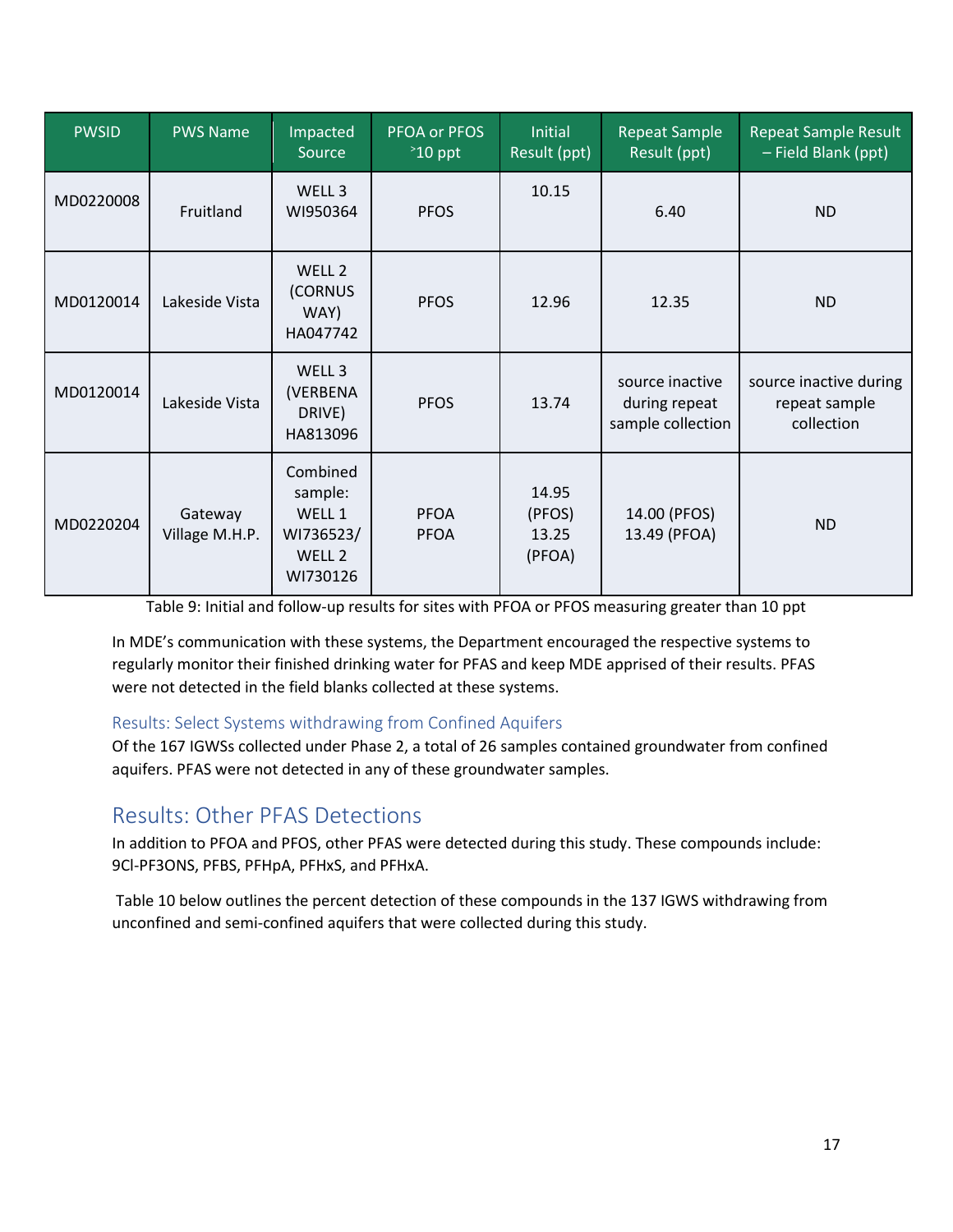| <b>PWSID</b> | <b>PWS Name</b>           | Impacted<br>Source                                               | PFOA or PFOS<br>$\degree$ 10 ppt | <b>Initial</b><br>Result (ppt)     | <b>Repeat Sample</b><br>Result (ppt)                  | <b>Repeat Sample Result</b><br>- Field Blank (ppt)    |
|--------------|---------------------------|------------------------------------------------------------------|----------------------------------|------------------------------------|-------------------------------------------------------|-------------------------------------------------------|
| MD0220008    | Fruitland                 | WELL 3<br>WI950364                                               | <b>PFOS</b>                      | 10.15                              | 6.40                                                  | <b>ND</b>                                             |
| MD0120014    | Lakeside Vista            | WELL 2<br>(CORNUS<br>WAY)<br>HA047742                            | <b>PFOS</b>                      | 12.96                              | 12.35                                                 | <b>ND</b>                                             |
| MD0120014    | Lakeside Vista            | WELL 3<br>(VERBENA<br>DRIVE)<br>HA813096                         | <b>PFOS</b>                      | 13.74                              | source inactive<br>during repeat<br>sample collection | source inactive during<br>repeat sample<br>collection |
| MD0220204    | Gateway<br>Village M.H.P. | Combined<br>sample:<br>WELL 1<br>WI736523/<br>WELL 2<br>WI730126 | <b>PFOA</b><br><b>PFOA</b>       | 14.95<br>(PFOS)<br>13.25<br>(PFOA) | 14.00 (PFOS)<br>13.49 (PFOA)                          | <b>ND</b>                                             |

Table 9: Initial and follow-up results for sites with PFOA or PFOS measuring greater than 10 ppt

In MDE's communication with these systems, the Department encouraged the respective systems to regularly monitor their finished drinking water for PFAS and keep MDE apprised of their results. PFAS were not detected in the field blanks collected at these systems.

#### Results: Select Systems withdrawing from Confined Aquifers

Of the 167 IGWSs collected under Phase 2, a total of 26 samples contained groundwater from confined aquifers. PFAS were not detected in any of these groundwater samples.

### Results: Other PFAS Detections

In addition to PFOA and PFOS, other PFAS were detected during this study. These compounds include: 9Cl-PF3ONS, PFBS, PFHpA, PFHxS, and PFHxA.

Table 10 below outlines the percent detection of these compounds in the 137 IGWS withdrawing from unconfined and semi-confined aquifers that were collected during this study.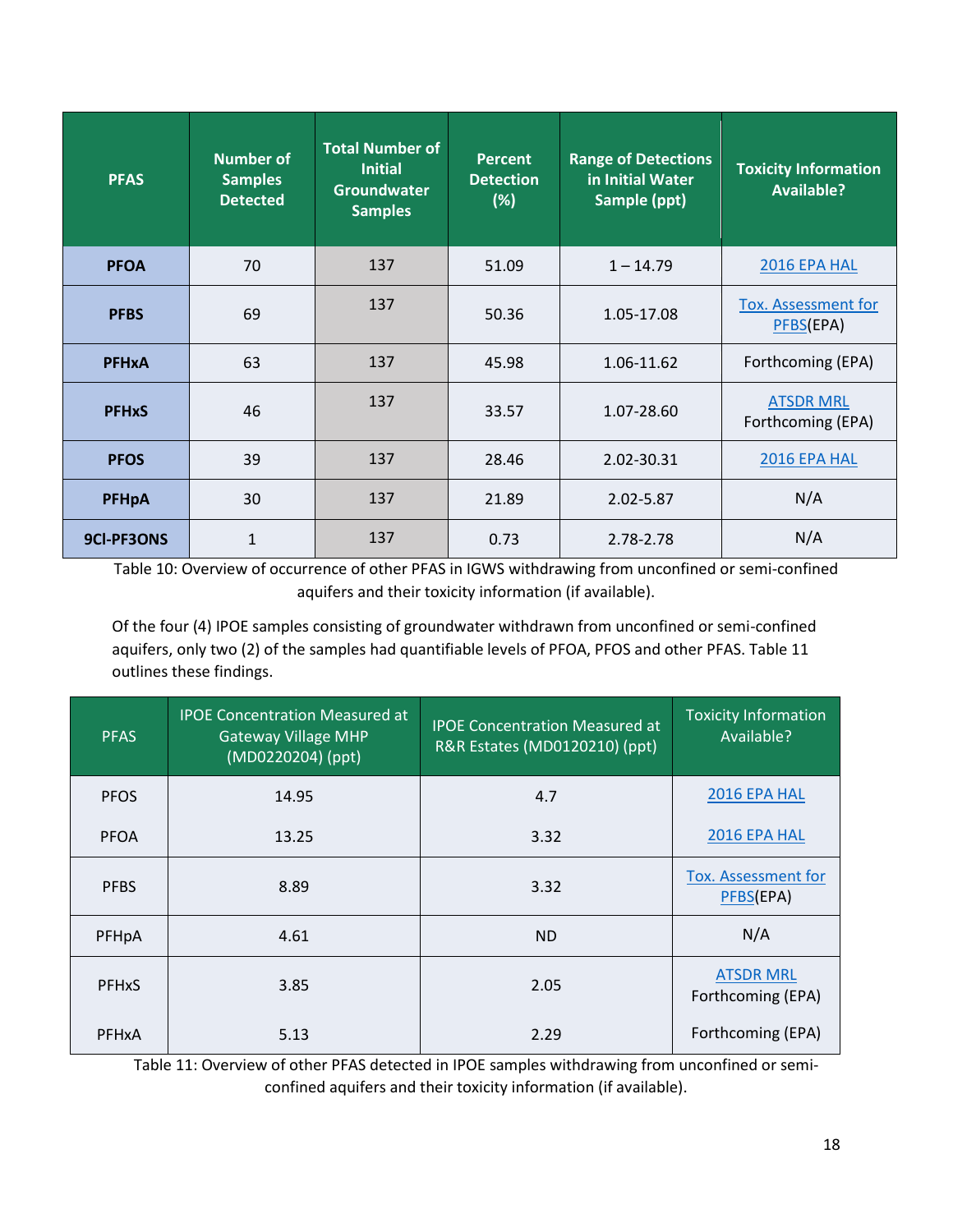| <b>PFAS</b>  | <b>Number of</b><br><b>Samples</b><br><b>Detected</b> | <b>Total Number of</b><br><b>Initial</b><br><b>Groundwater</b><br><b>Samples</b> | <b>Percent</b><br><b>Detection</b><br>(%) | <b>Range of Detections</b><br>in Initial Water<br>Sample (ppt) | <b>Toxicity Information</b><br><b>Available?</b> |
|--------------|-------------------------------------------------------|----------------------------------------------------------------------------------|-------------------------------------------|----------------------------------------------------------------|--------------------------------------------------|
| <b>PFOA</b>  | 70                                                    | 137                                                                              | 51.09                                     | $1 - 14.79$                                                    | 2016 EPA HAL                                     |
| <b>PFBS</b>  | 69                                                    | 137                                                                              | 50.36                                     | 1.05-17.08                                                     | Tox. Assessment for<br>PFBS(EPA)                 |
| <b>PFHxA</b> | 63                                                    | 137                                                                              | 45.98                                     | 1.06-11.62                                                     | Forthcoming (EPA)                                |
| <b>PFHxS</b> | 46                                                    | 137                                                                              | 33.57                                     | 1.07-28.60                                                     | <b>ATSDR MRL</b><br>Forthcoming (EPA)            |
| <b>PFOS</b>  | 39                                                    | 137                                                                              | 28.46                                     | 2.02-30.31                                                     | 2016 EPA HAL                                     |
| <b>PFHpA</b> | 30                                                    | 137                                                                              | 21.89                                     | 2.02-5.87                                                      | N/A                                              |
| 9CI-PF3ONS   | $\mathbf{1}$                                          | 137                                                                              | 0.73                                      | 2.78-2.78                                                      | N/A                                              |

Table 10: Overview of occurrence of other PFAS in IGWS withdrawing from unconfined or semi-confined aquifers and their toxicity information (if available).

Of the four (4) IPOE samples consisting of groundwater withdrawn from unconfined or semi-confined aquifers, only two (2) of the samples had quantifiable levels of PFOA, PFOS and other PFAS. Table 11 outlines these findings.

| <b>PFAS</b>             | <b>IPOE Concentration Measured at</b><br><b>Gateway Village MHP</b><br>(MD0220204) (ppt) | <b>IPOE Concentration Measured at</b><br>R&R Estates (MD0120210) (ppt) | <b>Toxicity Information</b><br>Available? |
|-------------------------|------------------------------------------------------------------------------------------|------------------------------------------------------------------------|-------------------------------------------|
| <b>PFOS</b>             | 14.95                                                                                    | 4.7                                                                    | 2016 EPA HAL                              |
| <b>PFOA</b>             | 13.25                                                                                    | 3.32                                                                   | 2016 EPA HAL                              |
| <b>PFBS</b>             | 8.89                                                                                     | 3.32                                                                   | <b>Tox. Assessment for</b><br>PFBS(EPA)   |
| PFHpA                   | 4.61                                                                                     | ND.                                                                    | N/A                                       |
| <b>PFH<sub>x</sub>S</b> | 3.85                                                                                     | 2.05                                                                   | <b>ATSDR MRL</b><br>Forthcoming (EPA)     |
| <b>PFHxA</b>            | 5.13                                                                                     | 2.29                                                                   | Forthcoming (EPA)                         |

Table 11: Overview of other PFAS detected in IPOE samples withdrawing from unconfined or semiconfined aquifers and their toxicity information (if available).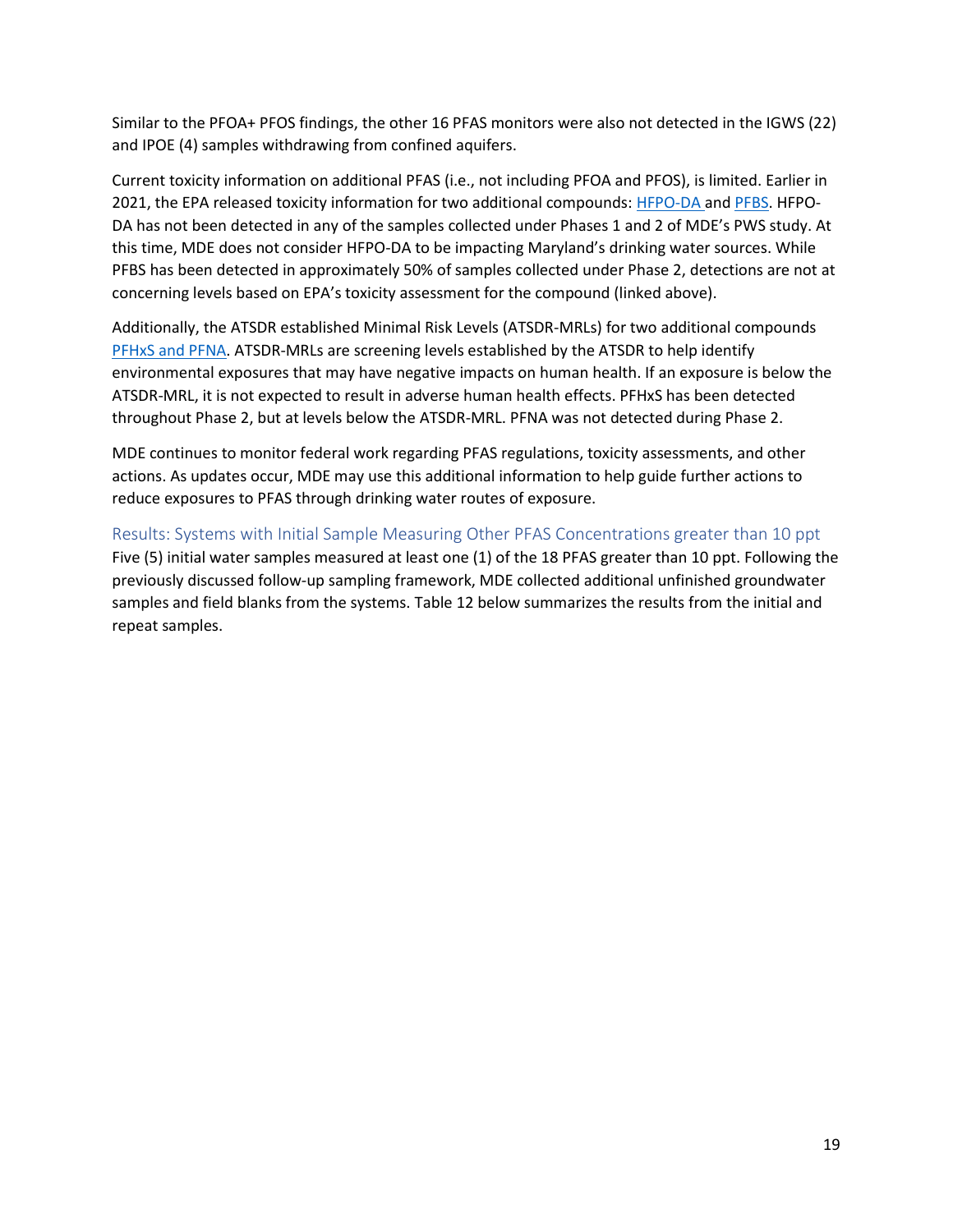Similar to the PFOA+ PFOS findings, the other 16 PFAS monitors were also not detected in the IGWS (22) and IPOE (4) samples withdrawing from confined aquifers.

Current toxicity information on additional PFAS (i.e., not including PFOA and PFOS), is limited. Earlier in 2021, the EPA released toxicity information for two additional compounds: [HFPO-DA](https://www.epa.gov/chemical-research/human-health-toxicity-assessments-genx-chemicals) and [PFBS.](https://www.epa.gov/chemical-research/learn-about-human-health-toxicity-assessment-pfbs) HFPO-DA has not been detected in any of the samples collected under Phases 1 and 2 of MDE's PWS study. At this time, MDE does not consider HFPO-DA to be impacting Maryland's drinking water sources. While PFBS has been detected in approximately 50% of samples collected under Phase 2, detections are not at concerning levels based on EPA's toxicity assessment for the compound (linked above).

Additionally, the ATSDR established Minimal Risk Levels (ATSDR-MRLs) for two additional compounds [PFHxS and PFNA.](https://www.atsdr.cdc.gov/pfas/resources/mrl-pfas.html) ATSDR-MRLs are screening levels established by the ATSDR to help identify environmental exposures that may have negative impacts on human health. If an exposure is below the ATSDR-MRL, it is not expected to result in adverse human health effects. PFHxS has been detected throughout Phase 2, but at levels below the ATSDR-MRL. PFNA was not detected during Phase 2.

MDE continues to monitor federal work regarding PFAS regulations, toxicity assessments, and other actions. As updates occur, MDE may use this additional information to help guide further actions to reduce exposures to PFAS through drinking water routes of exposure.

Results: Systems with Initial Sample Measuring Other PFAS Concentrations greater than 10 ppt Five (5) initial water samples measured at least one (1) of the 18 PFAS greater than 10 ppt. Following the previously discussed follow-up sampling framework, MDE collected additional unfinished groundwater samples and field blanks from the systems. Table 12 below summarizes the results from the initial and repeat samples.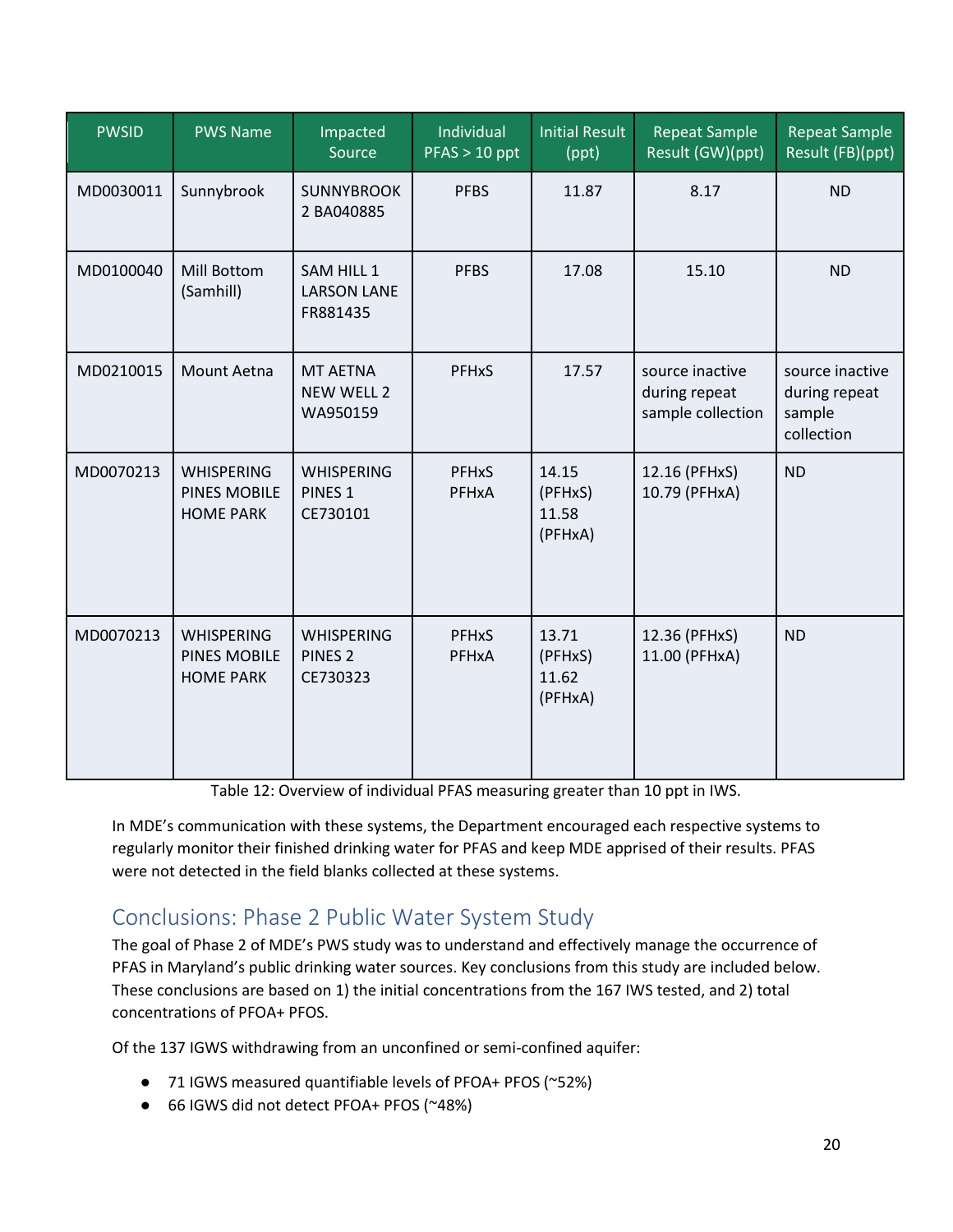| <b>PWSID</b> | <b>PWS Name</b>                                       | Impacted<br>Source                                  | Individual<br>$PFAST > 10$ ppt | Initial Result<br>(ppt)              | <b>Repeat Sample</b><br>Result (GW)(ppt)              | <b>Repeat Sample</b><br>Result (FB)(ppt)                 |
|--------------|-------------------------------------------------------|-----------------------------------------------------|--------------------------------|--------------------------------------|-------------------------------------------------------|----------------------------------------------------------|
| MD0030011    | Sunnybrook                                            | <b>SUNNYBROOK</b><br>2 BA040885                     | <b>PFBS</b>                    | 11.87                                | 8.17                                                  | <b>ND</b>                                                |
| MD0100040    | Mill Bottom<br>(Samhill)                              | SAM HILL 1<br><b>LARSON LANE</b><br>FR881435        | <b>PFBS</b>                    | 17.08                                | 15.10                                                 | <b>ND</b>                                                |
| MD0210015    | Mount Aetna                                           | <b>MT AETNA</b><br><b>NEW WELL 2</b><br>WA950159    | <b>PFHxS</b>                   | 17.57                                | source inactive<br>during repeat<br>sample collection | source inactive<br>during repeat<br>sample<br>collection |
| MD0070213    | <b>WHISPERING</b><br>PINES MOBILE<br><b>HOME PARK</b> | <b>WHISPERING</b><br>PINES <sub>1</sub><br>CE730101 | <b>PFHxS</b><br>PFHxA          | 14.15<br>(PFHxS)<br>11.58<br>(PFHxA) | 12.16 (PFHxS)<br>10.79 (PFHxA)                        | <b>ND</b>                                                |
| MD0070213    | <b>WHISPERING</b><br>PINES MOBILE<br><b>HOME PARK</b> | <b>WHISPERING</b><br>PINES <sub>2</sub><br>CE730323 | <b>PFHxS</b><br>PFHxA          | 13.71<br>(PFHxS)<br>11.62<br>(PFHxA) | 12.36 (PFHxS)<br>11.00 (PFHxA)                        | <b>ND</b>                                                |

Table 12: Overview of individual PFAS measuring greater than 10 ppt in IWS.

In MDE's communication with these systems, the Department encouraged each respective systems to regularly monitor their finished drinking water for PFAS and keep MDE apprised of their results. PFAS were not detected in the field blanks collected at these systems.

# Conclusions: Phase 2 Public Water System Study

The goal of Phase 2 of MDE's PWS study was to understand and effectively manage the occurrence of PFAS in Maryland's public drinking water sources. Key conclusions from this study are included below. These conclusions are based on 1) the initial concentrations from the 167 IWS tested, and 2) total concentrations of PFOA+ PFOS.

Of the 137 IGWS withdrawing from an unconfined or semi-confined aquifer:

- 71 IGWS measured quantifiable levels of PFOA+ PFOS (~52%)
- 66 IGWS did not detect PFOA+ PFOS (~48%)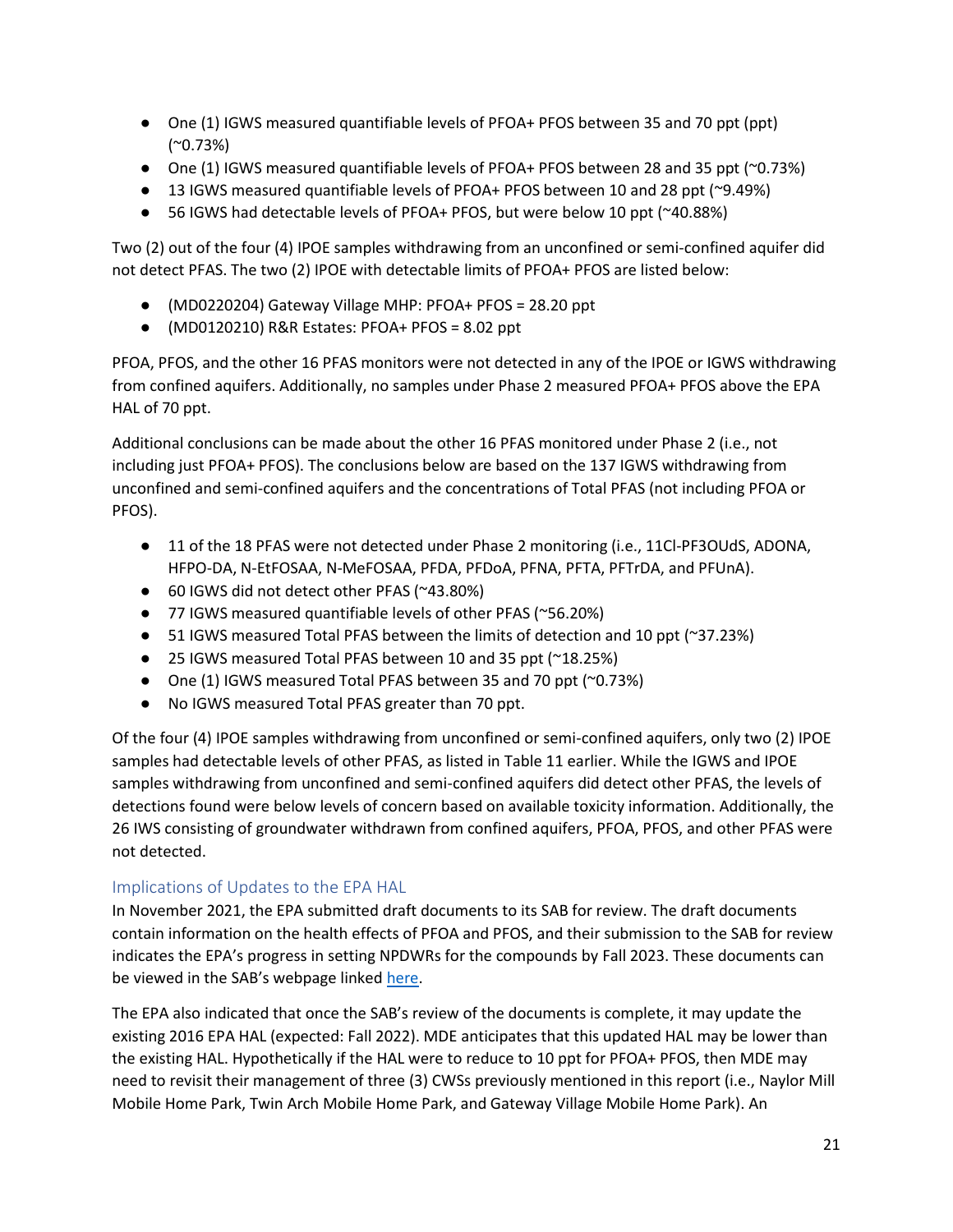- One (1) IGWS measured quantifiable levels of PFOA+ PFOS between 35 and 70 ppt (ppt) (~0.73%)
- One (1) IGWS measured quantifiable levels of PFOA+ PFOS between 28 and 35 ppt ( $\sim$ 0.73%)
- 13 IGWS measured quantifiable levels of PFOA+ PFOS between 10 and 28 ppt (~9.49%)
- 56 IGWS had detectable levels of PFOA+ PFOS, but were below 10 ppt (~40.88%)

Two (2) out of the four (4) IPOE samples withdrawing from an unconfined or semi-confined aquifer did not detect PFAS. The two (2) IPOE with detectable limits of PFOA+ PFOS are listed below:

- (MD0220204) Gateway Village MHP: PFOA+ PFOS = 28.20 ppt
- (MD0120210) R&R Estates: PFOA+ PFOS = 8.02 ppt

PFOA, PFOS, and the other 16 PFAS monitors were not detected in any of the IPOE or IGWS withdrawing from confined aquifers. Additionally, no samples under Phase 2 measured PFOA+ PFOS above the EPA HAL of 70 ppt.

Additional conclusions can be made about the other 16 PFAS monitored under Phase 2 (i.e., not including just PFOA+ PFOS). The conclusions below are based on the 137 IGWS withdrawing from unconfined and semi-confined aquifers and the concentrations of Total PFAS (not including PFOA or PFOS).

- 11 of the 18 PFAS were not detected under Phase 2 monitoring (i.e., 11Cl-PF3OUdS, ADONA, HFPO-DA, N-EtFOSAA, N-MeFOSAA, PFDA, PFDoA, PFNA, PFTA, PFTrDA, and PFUnA).
- 60 IGWS did not detect other PFAS (~43.80%)
- 77 IGWS measured quantifiable levels of other PFAS (~56.20%)
- 51 IGWS measured Total PFAS between the limits of detection and 10 ppt (~37.23%)
- 25 IGWS measured Total PFAS between 10 and 35 ppt (~18.25%)
- One (1) IGWS measured Total PFAS between 35 and 70 ppt (~0.73%)
- No IGWS measured Total PFAS greater than 70 ppt.

Of the four (4) IPOE samples withdrawing from unconfined or semi-confined aquifers, only two (2) IPOE samples had detectable levels of other PFAS, as listed in Table 11 earlier. While the IGWS and IPOE samples withdrawing from unconfined and semi-confined aquifers did detect other PFAS, the levels of detections found were below levels of concern based on available toxicity information. Additionally, the 26 IWS consisting of groundwater withdrawn from confined aquifers, PFOA, PFOS, and other PFAS were not detected.

#### Implications of Updates to the EPA HAL

In November 2021, the EPA submitted draft documents to its SAB for review. The draft documents contain information on the health effects of PFOA and PFOS, and their submission to the SAB for review indicates the EPA's progress in setting NPDWRs for the compounds by Fall 2023. These documents can be viewed in the SAB's webpage linked [here.](https://sab.epa.gov/ords/sab/f?p=100:19:7777001557924:::19:P19_ID:963#doc)

The EPA also indicated that once the SAB's review of the documents is complete, it may update the existing 2016 EPA HAL (expected: Fall 2022). MDE anticipates that this updated HAL may be lower than the existing HAL. Hypothetically if the HAL were to reduce to 10 ppt for PFOA+ PFOS, then MDE may need to revisit their management of three (3) CWSs previously mentioned in this report (i.e., Naylor Mill Mobile Home Park, Twin Arch Mobile Home Park, and Gateway Village Mobile Home Park). An